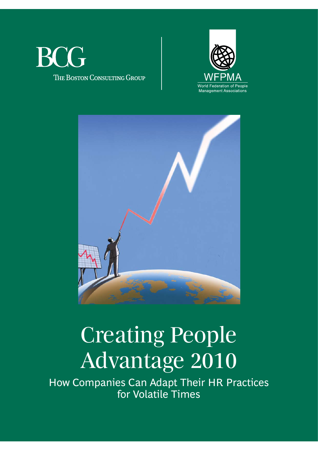





# Creating People Advantage 2010

How Companies Can Adapt Their HR Practices for Volatile Times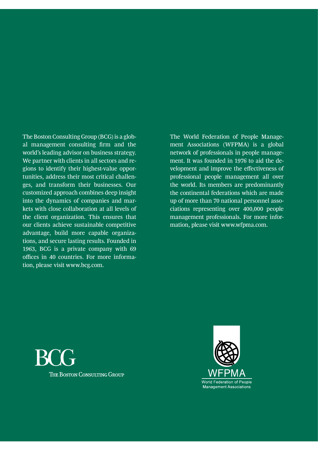The Boston Consulting Group (BCG) is a global management consulting firm and the world's leading advisor on business strategy. We partner with clients in all sectors and regions to identify their highest-value opportunities, address their most critical challenges, and transform their businesses. Our customized approach combines deep insight into the dynamics of companies and markets with close collaboration at all levels of the client organization. This ensures that our clients achieve sustainable competitive advantage, build more capable organizations, and secure lasting results. Founded in 1963, BCG is a private company with 69 offices in 40 countries. For more information, please visit www.bcg.com.

The World Federation of People Management Associations (WFPMA) is a global network of professionals in people management. It was founded in 1976 to aid the development and improve the effectiveness of professional people management all over the world. Its members are predominantly the continental federations which are made up of more than 70 national personnel associations representing over 400,000 people management professionals. For more information, please visit www.wfpma.com.



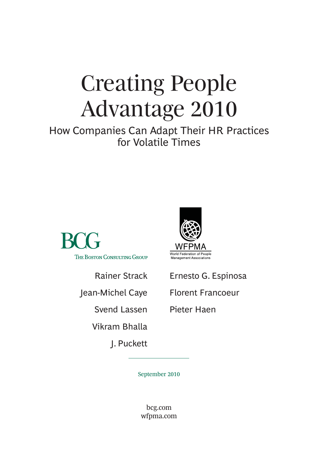# Creating People Advantage 2010

How Companies Can Adapt Their HR Practices for Volatile Times



Rainer Strack

Jean-Michel Caye

Svend Lassen

Vikram Bhalla

J. Puckett



Ernesto G. Espinosa

Florent Francoeur

Pieter Haen

September 2010

bcg.com wfpma.com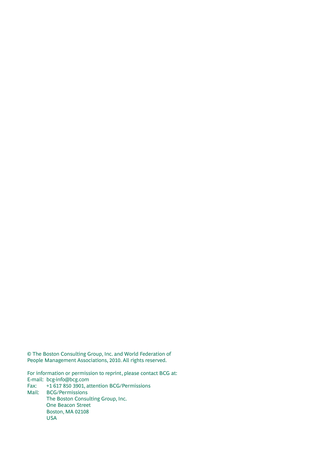© The Boston Consulting Group, Inc. and World Federation of People Management Associations, 2010. All rights reserved.

For information or permission to reprint, please contact BCG at: E-mail: bcg-info@bcg.com Fax: +1 617 850 3901, attention BCG/Permissions Mail: BCG/Permissions The Boston Consulting Group, Inc. One Beacon Street Boston, MA 02108 USA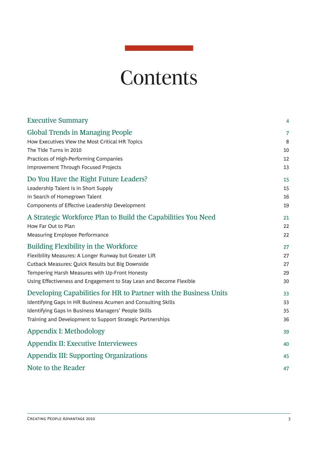## **Contents**

| <b>Executive Summary</b>                                            | 4  |
|---------------------------------------------------------------------|----|
| <b>Global Trends in Managing People</b>                             | 7  |
| How Executives View the Most Critical HR Topics                     | 8  |
| The Tide Turns in 2010                                              | 10 |
| Practices of High-Performing Companies                              | 12 |
| <b>Improvement Through Focused Projects</b>                         | 13 |
| Do You Have the Right Future Leaders?                               | 15 |
| Leadership Talent Is in Short Supply                                | 15 |
| In Search of Homegrown Talent                                       | 16 |
| Components of Effective Leadership Development                      | 19 |
| A Strategic Workforce Plan to Build the Capabilities You Need       | 21 |
| How Far Out to Plan                                                 | 22 |
| Measuring Employee Performance                                      | 22 |
| <b>Building Flexibility in the Workforce</b>                        | 27 |
| Flexibility Measures: A Longer Runway but Greater Lift              | 27 |
| Cutback Measures: Quick Results but Big Downside                    | 27 |
| Tempering Harsh Measures with Up-Front Honesty                      | 29 |
| Using Effectiveness and Engagement to Stay Lean and Become Flexible | 30 |
| Developing Capabilities for HR to Partner with the Business Units   | 33 |
| Identifying Gaps in HR Business Acumen and Consulting Skills        | 33 |
| Identifying Gaps in Business Managers' People Skills                | 35 |
| Training and Development to Support Strategic Partnerships          | 36 |
| Appendix I: Methodology                                             | 39 |
| <b>Appendix II: Executive Interviewees</b>                          | 40 |
| <b>Appendix III: Supporting Organizations</b>                       | 45 |
| Note to the Reader                                                  | 47 |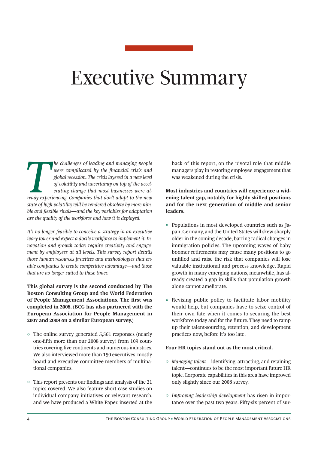## Executive Summary

**The challenges of leading and managing people were complicated by the financial crisis and global recession. The crisis layered in a new level of volatility and uncertainty on top of the accelerating change that most busi** *were complicated by the financial crisis and global recession. The crisis layered in a new level of volatility and uncertainty on top of the accelerating change that most businesses were alstate of high volatility will be rendered obsolete by more nim*ble and flexible rivals—and the key variables for adaptation *are the quality of the workforce and how it is deployed.*

*It's no longer feasible to conceive a strategy in an executive ivory tower and expect a docile workforce to implement it. Innovation and growth today require creativity and engagement by employees at all levels. This survey report details those human resources practices and methodologies that enable companies to create competitive advantage—and those that are no longer suited to these times.* 

**This global survey is the second conducted by The Boston Consulting Group and the World Federation**  of People Management Associations. The first was **completed in 2008. (BCG has also partnered with the European Association for People Management in 2007 and 2009 on a similar European survey.)**

- $\Diamond$  The online survey generated 5,561 responses (nearly one-fifth more than our 2008 survey) from 109 countries covering five continents and numerous industries. We also interviewed more than 150 executives, mostly board and executive committee members of multinational companies.
- $\diamond$  This report presents our findings and analysis of the 21 topics covered. We also feature short case studies on individual company initiatives or relevant research, and we have produced a White Paper, inserted at the

back of this report, on the pivotal role that middle managers play in restoring employee engagement that was weakened during the crisis.

**Most industries and countries will experience a widening talent gap, notably for highly skilled positions and for the next generation of middle and senior leaders.**

- $\diamond$  Populations in most developed countries such as Japan, Germany, and the United States will skew sharply older in the coming decade, barring radical changes in immigration policies. The upcoming waves of baby boomer retirements may cause many positions to go unfilled and raise the risk that companies will lose valuable institutional and process knowledge. Rapid growth in many emerging nations, meanwhile, has already created a gap in skills that population growth alone cannot ameliorate.
- $\diamond$  Revising public policy to facilitate labor mobility would help, but companies have to seize control of their own fate when it comes to securing the best workforce today and for the future. They need to ramp up their talent-sourcing, retention, and development practices now, before it's too late.

#### **Four HR topics stand out as the most critical.**

- *◊ Managing talent*—identifying, attracting, and retaining talent—continues to be the most important future HR topic. Corporate capabilities in this area have improved only slightly since our 2008 survey.
- *◊ Improving leadership development* has risen in importance over the past two years. Fifty-six percent of sur-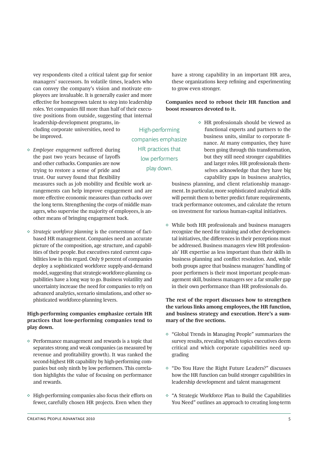vey respondents cited a critical talent gap for senior managers' successors. In volatile times, leaders who can convey the company's vision and motivate employees are invaluable. It is generally easier and more effective for homegrown talent to step into leadership roles. Yet companies fill more than half of their executive positions from outside, suggesting that internal leadership-development programs, in-

cluding corporate universities, need to be improved.

*◊ Employee engagement* suffered during the past two years because of layoffs and other cutbacks. Companies are now trying to restore a sense of pride and trust. Our survey found that flexibility

measures such as job mobility and flexible work arrangements can help improve engagement and are more effective economic measures than cutbacks over the long term. Strengthening the corps of middle managers, who supervise the majority of employees, is another means of bringing engagement back.

*◊ Strategic workforce planning* is the cornerstone of factbased HR management. Companies need an accurate picture of the composition, age structure, and capabilities of their people. But executives rated current capabilities low in this regard. Only 9 percent of companies deploy a sophisticated workforce supply-and-demand model, suggesting that strategic-workforce-planning capabilities have a long way to go. Business volatility and uncertainty increase the need for companies to rely on advanced analytics, scenario simulations, and other sophisticated workforce-planning levers.

### **High-performing companies emphasize certain HR practices that low-performing companies tend to play down.**

- $\diamond$  Performance management and rewards is a topic that separates strong and weak companies (as measured by revenue and profitability growth). It was ranked the second-highest HR capability by high-performing companies but only ninth by low performers. This correlation highlights the value of focusing on performance and rewards.
- $\diamond$  High-performing companies also focus their efforts on fewer, carefully chosen HR projects. Even when they

**Companies need to reboot their HR function and boost resources devoted to it.**  $\Diamond$  HR professionals should be viewed as High-performing companies emphasize

HR practices that low performers play down.

to grow even stronger.

 functional experts and partners to the business units, similar to corporate fi nance. At many companies, they have been going through this transformation, but they still need stronger capabilities and larger roles. HR professionals them selves acknowledge that they have big capability gaps in business analytics,

business planning, and client relationship management. In particular, more sophisticated analytical skills will permit them to better predict future requirements, track performance outcomes, and calculate the return on investment for various human-capital initiatives.

have a strong capability in an important HR area, these organizations keep refining and experimenting

 $\diamond$  While both HR professionals and business managers recognize the need for training and other developmental initiatives, the differences in their perceptions must be addressed. Business managers view HR professionals' HR expertise as less important than their skills in business planning and conflict resolution. And, while both groups agree that business managers' handling of poor performers is their most important people-management skill, business managers see a far smaller gap in their own performance than HR professionals do.

**The rest of the report discusses how to strengthen the various links among employees, the HR function, and business strategy and execution. Here's a sum**mary of the five sections.

- ◊ "Global Trends in Managing People" summarizes the survey results, revealing which topics executives deem critical and which corporate capabilities need upgrading
- ◊ "Do You Have the Right Future Leaders?" discusses how the HR function can build stronger capabilities in leadership development and talent management
- ◊ "A Strategic Workforce Plan to Build the Capabilities You Need" outlines an approach to creating long-term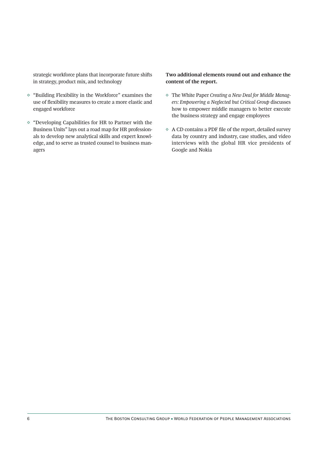strategic workforce plans that incorporate future shifts in strategy, product mix, and technology

- ◊ "Building Flexibility in the Workforce" examines the use of flexibility measures to create a more elastic and engaged workforce
- ◊ "Developing Capabilities for HR to Partner with the Business Units" lays out a road map for HR professionals to develop new analytical skills and expert knowledge, and to serve as trusted counsel to business managers

### **Two additional elements round out and enhance the content of the report.**

- ◊ The White Paper *Creating a New Deal for Middle Managers: Empowering a Neglected but Critical Group* discusses how to empower middle managers to better execute the business strategy and engage employees
- $\Diamond$  A CD contains a PDF file of the report, detailed survey data by country and industry, case studies, and video interviews with the global HR vice presidents of Google and Nokia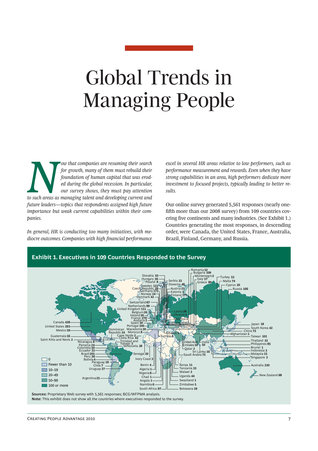# Global Trends in Managing People

*x Now that companies are resuming their search for growth, many of them must rebuild their foundation of human capital that was eroded during the global recession. In particular, our survey shows, they must pay attent for growth, many of them must rebuild their foundation of human capital that was eroded during the global recession. In particular, our survey shows, they must pay attention future leaders—topics that respondents assigned high future importance but weak current capabilities within their companies.*

*In general, HR is conducting too many initiatives, with mediocre outcomes. Companies with high fi nancial performance*  *excel in several HR areas relative to low performers, such as performance measurement and rewards. Even when they have strong capabilities in an area, high performers dedicate more investment to focused projects, typically leading to better results.*

Our online survey generated 5,561 responses (nearly onefifth more than our 2008 survey) from 109 countries covering five continents and many industries. (See Exhibit 1.) Countries generating the most responses, in descending order, were Canada, the United States, France, Australia, Brazil, Finland, Germany, and Russia.

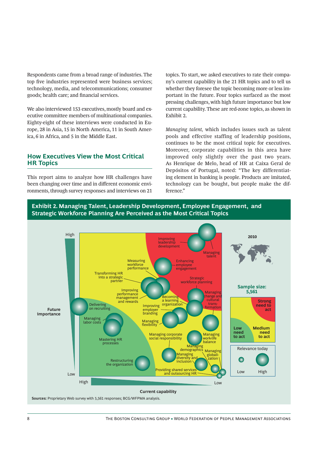Respondents came from a broad range of industries. The top five industries represented were business services; technology, media, and telecommunications; consumer goods; health care; and financial services.

We also interviewed 153 executives, mostly board and executive committee members of multinational companies. Eighty-eight of these interviews were conducted in Europe, 28 in Asia, 15 in North America, 11 in South America, 6 in Africa, and 5 in the Middle East.

## **How Executives View the Most Critical HR Topics**

This report aims to analyze how HR challenges have been changing over time and in different economic environments, through survey responses and interviews on 21

topics. To start, we asked executives to rate their company's current capability in the 21 HR topics and to tell us whether they foresee the topic becoming more or less important in the future. Four topics surfaced as the most pressing challenges, with high future importance but low current capability. These are red-zone topics, as shown in Exhibit 2.

*Managing talent,* which includes issues such as talent pools and effective staffing of leadership positions, continues to be the most critical topic for executives. Moreover, corporate capabilities in this area have improved only slightly over the past two years. As Henrique de Melo, head of HR at Caixa Geral de Depósitos of Portugal, noted: "The key differentiating element in banking is people. Products are imitated, technology can be bought, but people make the difference"

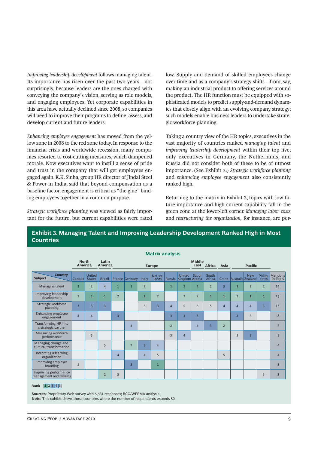*Improving leadership development* follows managing talent. Its importance has risen over the past two years—not surprisingly, because leaders are the ones charged with conveying the company's vision, serving as role models, and engaging employees. Yet corporate capabilities in this area have actually declined since 2008, so companies will need to improve their programs to define, assess, and develop current and future leaders.

*Enhancing employee engagement* has moved from the yellow zone in 2008 to the red zone today. In response to the financial crisis and worldwide recession, many companies resorted to cost-cutting measures, which dampened morale. Now executives want to instill a sense of pride and trust in the company that will get employees engaged again. K.K. Sinha, group HR director of Jindal Steel & Power in India, said that beyond compensation as a baseline factor, engagement is critical as "the glue" binding employees together in a common purpose.

*Strategic workforce planning* was viewed as fairly important for the future, but current capabilities were rated low. Supply and demand of skilled employees change over time and as a company's strategy shifts—from, say, making an industrial product to offering services around the product. The HR function must be equipped with sophisticated models to predict supply-and-demand dynamics that closely align with an evolving company strategy; such models enable business leaders to undertake strategic workforce planning.

Taking a country view of the HR topics, executives in the vast majority of countries ranked *managing talent* and *improving leadership development* within their top five; only executives in Germany, the Netherlands, and Russia did not consider both of these to be of utmost importance. (See Exhibit 3.) *Strategic workforce planning* and *enhancing employee engagement* also consistently ranked high.

Returning to the matrix in Exhibit 2, topics with low future importance and high current capability fall in the green zone at the lower-left corner. *Managing labor costs* and *restructuring the organization,* for instance, are per-

|                                                 |                         |                                |                  |                |                |                | <b>Matrix analysis</b> |                |                                        |                       |                 |                |                |                                       |                  |                             |
|-------------------------------------------------|-------------------------|--------------------------------|------------------|----------------|----------------|----------------|------------------------|----------------|----------------------------------------|-----------------------|-----------------|----------------|----------------|---------------------------------------|------------------|-----------------------------|
|                                                 | <b>North</b><br>America |                                | Latin<br>America |                |                |                | <b>Europe</b>          |                |                                        | <b>Middle</b><br>East | Africa          | Asia           |                | <b>Pacific</b>                        |                  |                             |
| <b>Country</b><br>Subject                       | Canadal                 | <b>United</b><br><b>States</b> | <b>Brazil</b>    |                | France Germany | Italy          | Nether-<br>lands       |                | <b>United</b><br>Russia Kingdom Arabia | Saudi                 | South<br>Africa |                |                | <b>New</b><br>China Australia Zealand | Philip-<br>pines | <b>Mentions</b><br>in Top 5 |
| Managing talent                                 | $\mathbf{1}$            | $\overline{2}$                 | $\overline{4}$   | 1              | $\mathbf{1}$   | $\overline{2}$ |                        | 1              | $\mathbf{1}$                           | $\overline{1}$        | $\overline{2}$  | $\overline{3}$ | $\overline{1}$ | $\overline{2}$                        | $\overline{2}$   | 14                          |
| Improving leadership<br>development             | $\overline{2}$          | $\overline{1}$                 | $\overline{1}$   | $\overline{2}$ |                | $\mathbf{1}$   | $\overline{2}$         |                | $\overline{2}$                         | $\overline{2}$        | $\mathbf{1}$    | $\overline{1}$ | $\overline{2}$ | $\overline{1}$                        | $\mathbf{1}$     | 13                          |
| Strategic workforce<br>planning                 | $\overline{3}$          | $\overline{3}$                 | $\overline{3}$   |                |                | 5              | $\overline{3}$         | $\overline{4}$ | 5                                      | 5                     | 5               | $\overline{4}$ | $\overline{4}$ | $\overline{4}$                        | $\overline{3}$   | 13                          |
| Enhancing employee<br>engagement                | $\overline{4}$          | $\overline{4}$                 |                  | $\overline{3}$ |                |                |                        | $\overline{3}$ | $\overline{3}$                         | $\overline{3}$        |                 |                | $\overline{3}$ | 5                                     |                  | 8                           |
| Transforming HR into<br>a strategic partner     |                         |                                |                  |                | $\overline{4}$ |                |                        | $\overline{2}$ |                                        | $\overline{4}$        | $\overline{3}$  | $\overline{2}$ |                |                                       |                  | 5                           |
| Measuring workforce<br>performance              |                         | 5                              |                  |                |                |                |                        | 5              | $\overline{4}$                         |                       |                 |                | 5              | $\overline{3}$                        |                  | 5                           |
| Managing change and<br>cultural transformation  |                         |                                | 5                |                | $\overline{2}$ | $\overline{3}$ | $\overline{4}$         |                |                                        |                       |                 |                |                |                                       |                  | $\overline{4}$              |
| Becoming a learning<br>organization             |                         |                                |                  | $\overline{4}$ |                | $\overline{4}$ | 5                      |                |                                        |                       |                 | 5              |                |                                       |                  | $\overline{4}$              |
| Improving employer<br>branding                  | 5                       |                                |                  |                | $\overline{3}$ |                | $\mathbf{1}$           |                |                                        |                       |                 |                |                |                                       |                  | $\overline{3}$              |
| Improving performance<br>management and rewards |                         |                                | $\overline{2}$   | 5              |                |                |                        |                |                                        |                       |                 |                |                |                                       | 5                | $\overline{3}$              |

## **Exhibit 3. Managing Talent and Improving Leadership Development Ranked High in Most Countries**

#### **Rank**  $\begin{array}{|c|c|c|} 1 & 2 & 3 & 4 & 5 \end{array}$

**Sources:** Proprietary Web survey with 5,561 responses; BCG/WFPMA analysis.

**Note:** This exhibit shows those countries where the number of respondents exceeds 50.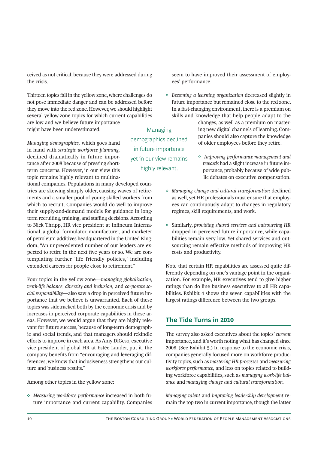ceived as not critical, because they were addressed during the crisis.

Thirteen topics fall in the yellow zone, where challenges do not pose immediate danger and can be addressed before they move into the red zone. However, we should highlight several yellow-zone topics for which current capabilities are low and we believe future importance might have been underestimated.

*Managing demographics,* which goes hand in hand with *strategic workforce planning,* declined dramatically in future importance after 2008 because of pressing shortterm concerns. However, in our view this topic remains highly relevant to multina-

tional companies. Populations in many developed countries are skewing sharply older, causing waves of retirements and a smaller pool of young skilled workers from which to recruit. Companies would do well to improve their supply-and-demand models for guidance in longterm recruiting, training, and staffing decisions. According to Nick Thripp, HR vice president at Infineum International, a global formulator, manufacturer, and marketer of petroleum additives headquartered in the United Kingdom, "An unprecedented number of our leaders are expected to retire in the next five years or so. We are contemplating further 'life friendly policies,' including extended careers for people close to retirement."

Four topics in the yellow zone—*managing globalization, work-life balance, diversity and inclusion,* and *corporate social responsibility*—also saw a drop in perceived future importance that we believe is unwarranted. Each of these topics was sidetracked both by the economic crisis and by increases in perceived corporate capabilities in these areas. However, we would argue that they are highly relevant for future success, because of long-term demographic and social trends, and that managers should rekindle efforts to improve in each area. As Amy DiGeso, executive vice president of global HR at Estée Lauder, put it, the company benefits from "encouraging and leveraging differences; we know that inclusiveness strengthens our culture and business results."

Among other topics in the yellow zone:

*◊ Measuring workforce performance* increased in both future importance and current capability. Companies

Managing demographics declined in future importance

yet in our view remains highly relevant.

seem to have improved their assessment of employees' performance.

*◊ Becoming a learning organization* decreased slightly in future importance but remained close to the red zone. In a fast-changing environment, there is a premium on skills and knowledge that help people adapt to the

> changes, as well as a premium on mastering new digital channels of learning. Companies should also capture the knowledge of older employees before they retire.

- *◊ Improving performance management and rewards* had a slight increase in future im portance, probably because of wide pub lic debates on executive compensation.
- *◊ Managing change and cultural transformation* declined as well, yet HR professionals must ensure that employees can continuously adapt to changes in regulatory regimes, skill requirements, and work.
- ◊ Similarly, *providing shared services and outsourcing HR* dropped in perceived future importance, while capabilities remain very low. Yet shared services and outsourcing remain effective methods of improving HR costs and productivity.

Note that certain HR capabilities are assessed quite differently depending on one's vantage point in the organization. For example, HR executives tend to give higher ratings than do line business executives to all HR capabilities. Exhibit 4 shows the seven capabilities with the largest ratings difference between the two groups.

## **The Tide Turns in 2010**

The survey also asked executives about the topics' *current* importance, and it's worth noting what has changed since 2008. (See Exhibit 5.) In response to the economic crisis, companies generally focused more on workforce productivity topics, such as *mastering HR processes* and *measuring workforce performance,* and less on topics related to building workforce capabilities, such as *managing work-life balance* and *managing change and cultural transformation.* 

*Managing talent* and *improving leadership development* remain the top two in current importance, though the latter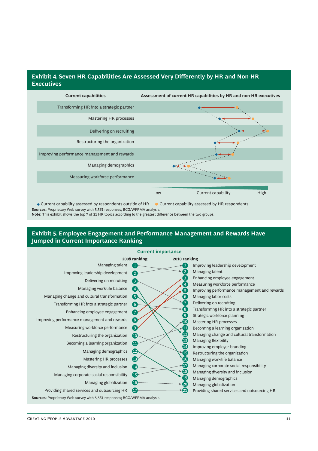## **Exhibit 4. Seven HR Capabilities Are Assessed Very Differently by HR and Non-HR Executives**



**Sources:** Proprietary Web survey with 5,561 responses; BCG/WFPMA analysis. **Note:** This exhibit shows the top 7 of 21 HR topics according to the greatest difference between the two groups.

## **Exhibit 5. Employee Engagement and Performance Management and Rewards Have Jumped in Current Importance Ranking**

|                                                                           |                   | <b>Current importance</b>                                      |
|---------------------------------------------------------------------------|-------------------|----------------------------------------------------------------|
|                                                                           | 2008 ranking      | 2010 ranking                                                   |
| Managing talent                                                           | 1                 | Improving leadership development                               |
| Improving leadership development                                          |                   | Managing talent                                                |
| Delivering on recruiting                                                  | 3                 | Enhancing employee engagement<br>3                             |
| Managing work-life balance                                                | $\overline{4}$    | Measuring workforce performance                                |
|                                                                           |                   | 5 <sup>5</sup><br>Improving performance management and rewards |
| Managing change and cultural transformation                               | 6                 | 6 <sup>1</sup><br>Managing labor costs                         |
| Transforming HR into a strategic partner                                  | $\boxed{6}$       | Delivering on recruiting                                       |
| Enhancing employee engagement                                             | $7^{\circ}$       | 8 <sup>°</sup><br>Transforming HR into a strategic partner     |
|                                                                           |                   | $\left[9\right]$<br>Strategic workforce planning               |
| Improving performance management and rewards                              | $\left( 8\right)$ | (10)<br>Mastering HR processes                                 |
| Measuring workforce performance                                           | ( 9               | 41<br>Becoming a learning organization                         |
| Restructuring the organization                                            | $\overline{10}$   | (12)<br>Managing change and cultural transformation            |
| Becoming a learning organization                                          | $\mathbf{1}$      | $\overline{13}$<br>Managing flexibility                        |
|                                                                           |                   | $\boldsymbol{\Phi}$<br>Improving employer branding             |
| Managing demographics                                                     | (12)              | (15)<br>Restructuring the organization                         |
| Mastering HR processes                                                    | $\bigoplus$       | 16<br>Managing work-life balance                               |
| Managing diversity and inclusion                                          | $\overline{14}$   | Managing corporate social responsibility                       |
| Managing corporate social responsibility                                  | (15)              | 18 <sup>°</sup><br>Managing diversity and inclusion            |
|                                                                           |                   | 19<br>Managing demographics                                    |
| Managing globalization                                                    | 【16】              | 20<br>Managing globalization                                   |
| Providing shared services and outsourcing HR                              | (17               | Providing shared services and outsourcing HR                   |
| Sources: Proprietary Web survey with 5,561 responses; BCG/WFPMA analysis. |                   |                                                                |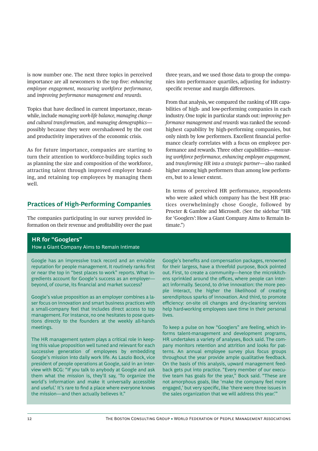is now number one. The next three topics in perceived importance are all newcomers to the top five: *enhancing employee engagement, measuring workforce performance,*  and *improving performance management and rewards.*

Topics that have declined in current importance, meanwhile, include *managing work-life balance, managing change and cultural transformation,* and *managing demographics* possibly because they were overshadowed by the cost and productivity imperatives of the economic crisis.

As for future importance, companies are starting to turn their attention to workforce-building topics such as planning the size and composition of the workforce, attracting talent through improved employer branding, and retaining top employees by managing them well.

## **Practices of High-Performing Companies**

The companies participating in our survey provided information on their revenue and profitability over the past

three years, and we used those data to group the companies into performance quartiles, adjusting for industryspecific revenue and margin differences.

From that analysis, we compared the ranking of HR capabilities of high- and low-performing companies in each industry. One topic in particular stands out: *improving performance management and rewards* was ranked the secondhighest capability by high-performing companies, but only ninth by low performers. Excellent financial performance clearly correlates with a focus on employee performance and rewards. Three other capabilities—*measuring workforce performance, enhancing employee engagement,* and *transforming HR into a strategic partner*—also ranked higher among high performers than among low performers, but to a lesser extent.

In terms of perceived HR performance, respondents who were asked which company has the best HR practices overwhelmingly chose Google, followed by Procter & Gamble and Microsoft. (See the sidebar "HR for 'Googlers': How a Giant Company Aims to Remain Intimate.")

## **HR for "Googlers"**

#### How a Giant Company Aims to Remain Intimate

Google has an impressive track record and an enviable reputation for people management. It routinely ranks first or near the top in "best places to work" reports. What ingredients account for Google's success as an employer beyond, of course, its financial and market success?

Google's value proposition as an employer combines a laser focus on innovation and smart business practices with a small-company feel that includes direct access to top management. For instance, no one hesitates to pose questions directly to the founders at the weekly all-hands meetings.

The HR management system plays a critical role in keeping this value proposition well tuned and relevant for each successive generation of employees by embedding Google's mission into daily work life. As Laszlo Bock, vice president of people operations at Google, said in an interview with BCG: "If you talk to anybody at Google and ask them what the mission is, they'll say, 'To organize the world's information and make it universally accessible and useful.' It's rare to find a place where everyone knows the mission—and then actually believes it."

Google's benefits and compensation packages, renowned for their largess, have a threefold purpose, Bock pointed out. First, to create a community—hence the microkitchens sprinkled around the offices, where people can interact informally. Second, to drive innovation: the more people interact, the higher the likelihood of creating serendipitous sparks of innovation. And third, to promote efficiency: on-site oil changes and dry-cleaning services help hard-working employees save time in their personal lives.

To keep a pulse on how "Googlers" are feeling, which informs talent-management and development programs, HR undertakes a variety of analyses, Bock said. The company monitors retention and attrition and looks for patterns. An annual employee survey plus focus groups throughout the year provide ample qualitative feedback. On the basis of this analysis, upward management feedback gets put into practice. "Every member of our executive team has goals for the year," Bock said. "These are not amorphous goals, like 'make the company feel more engaged,' but very specific, like 'there were three issues in the sales organization that we will address this year.'"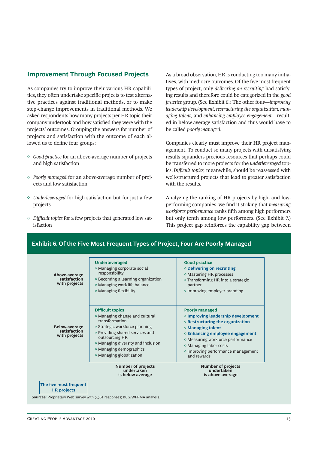## **Improvement Through Focused Projects**

As companies try to improve their various HR capabilities, they often undertake specific projects to test alternative practices against traditional methods, or to make step-change improvements in traditional methods. We asked respondents how many projects per HR topic their company undertook and how satisfied they were with the projects' outcomes. Grouping the answers for number of projects and satisfaction with the outcome of each allowed us to define four groups:

- *◊ Good practice* for an above-average number of projects and high satisfaction
- *◊ Poorly managed* for an above-average number of projects and low satisfaction
- *◊ Underleveraged* for high satisfaction but for just a few projects
- *◊ Diffi cult topics* for a few projects that generated low satisfaction

As a broad observation, HR is conducting too many initiatives, with mediocre outcomes. Of the five most frequent types of project, only *delivering on recruiting* had satisfying results and therefore could be categorized in the *good practice* group. (See Exhibit 6.) The other four—*improving leadership development, restructuring the organization, managing talent,* and *enhancing employee engagement*—resulted in below-average satisfaction and thus would have to be called *poorly managed.*

Companies clearly must improve their HR project management. To conduct so many projects with unsatisfying results squanders precious resources that perhaps could be transferred to more projects for the *underleveraged* topics. *Difficult topics*, meanwhile, should be reassessed with well-structured projects that lead to greater satisfaction with the results.

Analyzing the ranking of HR projects by high- and lowperforming companies, we find it striking that *measuring workforce performance* ranks fifth among high performers but only tenth among low performers. (See Exhibit 7.) This project gap reinforces the capability gap between

## **Exhibit 6. Of the Five Most Frequent Types of Project, Four Are Poorly Managed**

| The five most frequent<br><b>HR</b> projects   |                                                                                                                                                                                                                                                                                                              |                                                                                                                                                                                                                                                                                                                            |
|------------------------------------------------|--------------------------------------------------------------------------------------------------------------------------------------------------------------------------------------------------------------------------------------------------------------------------------------------------------------|----------------------------------------------------------------------------------------------------------------------------------------------------------------------------------------------------------------------------------------------------------------------------------------------------------------------------|
|                                                | <b>Number of projects</b><br>undertaken<br>is below average                                                                                                                                                                                                                                                  | <b>Number of projects</b><br>undertaken<br>is above average                                                                                                                                                                                                                                                                |
| Below-average<br>satisfaction<br>with projects | <b>Difficult topics</b><br>$\diamond$ Managing change and cultural<br>transformation<br>$\diamond$ Strategic workforce planning<br>$\diamond$ Providing shared services and<br>outsourcing HR<br>$\diamond$ Managing diversity and inclusion<br>$\diamond$ Managing demographics<br>◇ Managing globalization | Poorly managed<br>$\diamond$ Improving leadership development<br>$\diamond$ Restructuring the organization<br>$\diamond$ Managing talent<br>$\diamond$ Enhancing employee engagement<br>◇ Measuring workforce performance<br>$\diamond$ Managing labor costs<br>$\diamond$ Improving performance management<br>and rewards |
| Above-average<br>satisfaction<br>with projects | <b>Underleveraged</b><br>$\diamond$ Managing corporate social<br>responsibility<br>$\diamond$ Becoming a learning organization<br>$\diamond$ Managing work-life balance<br>$\diamond$ Managing flexibility                                                                                                   | <b>Good practice</b><br>$\diamond$ Delivering on recruiting<br>$\diamond$ Mastering HR processes<br>$\diamond$ Transforming HR into a strategic<br>partner<br>$\diamond$ Improving employer branding                                                                                                                       |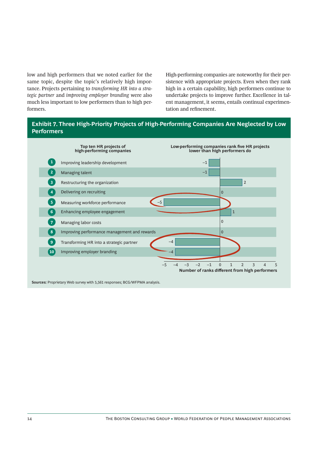low and high performers that we noted earlier for the same topic, despite the topic's relatively high importance. Projects pertaining to *transforming HR into a strategic partner* and *improving employer branding* were also much less important to low performers than to high performers.

High-performing companies are noteworthy for their persistence with appropriate projects. Even when they rank high in a certain capability, high performers continue to undertake projects to improve further. Excellence in talent management, it seems, entails continual experimentation and refinement.

## **Exhibit 7. Three High-Priority Projects of High-Performing Companies Are Neglected by Low Performers**



**Sources:** Proprietary Web survey with 5,561 responses; BCG/WFPMA analysis.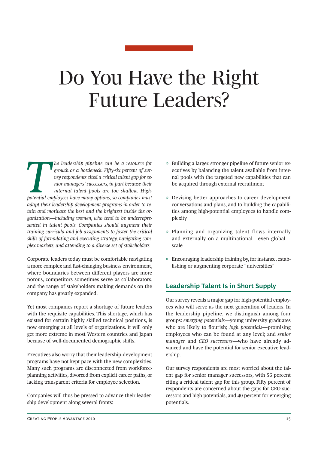## Do You Have the Right Future Leaders?

**The leadership pipeline can be a resource for growth or a bottleneck. Fifty-six percent of survey respondents cited a critical talent gap for senior managers' successors, in part because their internal talent pools are to** growth or a bottleneck. Fifty-six percent of sur*vey respondents cited a critical talent gap for senior managers' successors, in part because their internal talent pools are too shallow. Highadapt their leadership-development programs in order to retain and motivate the best and the brightest inside the organization—including women, who tend to be underrepresented in talent pools. Companies should augment their training curricula and job assignments to foster the critical skills of formulating and executing strategy, navigating complex markets, and attending to a diverse set of stakeholders.* 

Corporate leaders today must be comfortable navigating a more complex and fast-changing business environment, where boundaries between different players are more porous, competitors sometimes serve as collaborators, and the range of stakeholders making demands on the company has greatly expanded.

Yet most companies report a shortage of future leaders with the requisite capabilities. This shortage, which has existed for certain highly skilled technical positions, is now emerging at all levels of organizations. It will only get more extreme in most Western countries and Japan because of well-documented demographic shifts.

Executives also worry that their leadership-development programs have not kept pace with the new complexities. Many such programs are disconnected from workforceplanning activities, divorced from explicit career paths, or lacking transparent criteria for employee selection.

Companies will thus be pressed to advance their leadership development along several fronts:

- $\Diamond$  Building a larger, stronger pipeline of future senior executives by balancing the talent available from internal pools with the targeted new capabilities that can be acquired through external recruitment
- ◊ Devising better approaches to career development conversations and plans, and to building the capabilities among high-potential employees to handle complexity
- $\Diamond$  Planning and organizing talent flows internally and externally on a multinational—even global scale
- $\Diamond$  Encouraging leadership training by, for instance, establishing or augmenting corporate "universities"

## **Leadership Talent Is in Short Supply**

Our survey reveals a major gap for high-potential employees who will serve as the next generation of leaders. In the leadership pipeline, we distinguish among four groups: *emerging potentials*—young university graduates who are likely to flourish; *high potentials*—promising employees who can be found at any level; and *senior manager* and *CEO successors*—who have already advanced and have the potential for senior executive leadership.

Our survey respondents are most worried about the talent gap for senior manager successors, with 56 percent citing a critical talent gap for this group. Fifty percent of respondents are concerned about the gaps for CEO successors and high potentials, and 40 percent for emerging potentials.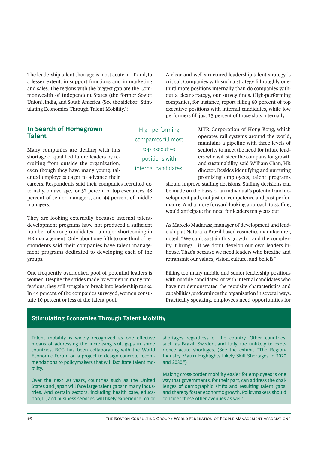The leadership talent shortage is most acute in IT and, to a lesser extent, in support functions and in marketing and sales. The regions with the biggest gap are the Commonwealth of Independent States (the former Soviet Union), India, and South America. (See the sidebar "Stimulating Economies Through Talent Mobility.")

A clear and well-structured leadership-talent strategy is critical. Companies with such a strategy fill roughly onethird more positions internally than do companies without a clear strategy, our survey finds. High-performing companies, for instance, report filling 60 percent of top executive positions with internal candidates, while low performers fill just 13 percent of those slots internally.

## **In Search of Homegrown Talent**

Many companies are dealing with this shortage of qualified future leaders by recruiting from outside the organization, even though they have many young, talented employees eager to advance their

careers. Respondents said their companies recruited externally, on average, for 52 percent of top executives, 48 percent of senior managers, and 44 percent of middle managers.

They are looking externally because internal talentdevelopment programs have not produced a sufficient number of strong candidates—a major shortcoming in HR management. Only about one-fifth to one-third of respondents said their companies have talent management programs dedicated to developing each of the groups.

One frequently overlooked pool of potential leaders is women. Despite the strides made by women in many professions, they still struggle to break into leadership ranks. In 44 percent of the companies surveyed, women constitute 10 percent or less of the talent pool.

High-performing companies fill most top executive positions with internal candidates. MTR Corporation of Hong Kong, which operates rail systems around the world, maintains a pipeline with three levels of seniority to meet the need for future leaders who will steer the company for growth and sustainability, said William Chan, HR director. Besides identifying and nurturing promising employees, talent programs

should improve staffing decisions. Staffing decisions can be made on the basis of an individual's potential and development path, not just on competence and past performance. And a more forward-looking approach to staffing would anticipate the need for leaders ten years out.

As Marcelo Madarasz, manager of development and leadership at Natura, a Brazil-based cosmetics manufacturer, noted: "We can't sustain this growth—and the complexity it brings—if we don't develop our own leaders inhouse. That's because we need leaders who breathe and retransmit our values, vision, culture, and beliefs."

Filling too many middle and senior leadership positions with outside candidates, or with internal candidates who have not demonstrated the requisite characteristics and capabilities, undermines the organization in several ways. Practically speaking, employees need opportunities for

## **Stimulating Economies Through Talent Mobility**

Talent mobility is widely recognized as one effective means of addressing the increasing skill gaps in some countries. BCG has been collaborating with the World Economic Forum on a project to design concrete recommendations to policymakers that will facilitate talent mobility.

Over the next 20 years, countries such as the United States and Japan will face large talent gaps in many industries. And certain sectors, including health care, education, IT, and business services, will likely experience major

shortages regardless of the country. Other countries, such as Brazil, Sweden, and Italy, are unlikely to experience acute shortages. (See the exhibit "The Region-Industry Matrix Highlights Likely Skill Shortages in 2020 and 2030.")

Making cross-border mobility easier for employees is one way that governments, for their part, can address the challenges of demographic shifts and resulting talent gaps, and thereby foster economic growth. Policymakers should consider these other avenues as well: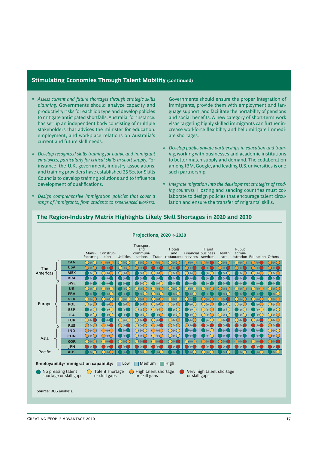#### **Stimulating Economies Through Talent Mobility (continued)**

- ◊ *Assess current and future shortages through strategic skills planning.* Governments should analyze capacity and productivity risks for each job type and develop policies to mitigate anticipated shortfalls. Australia, for instance, has set up an independent body consisting of multiple stakeholders that advises the minister for education, employment, and workplace relations on Australia's current and future skill needs.
- ◊ *Develop recognized skills training for native and immigrant employees, particularly for critical skills in short supply.* For instance, the U.K. government, industry associations, and training providers have established 25 Sector Skills Councils to develop training solutions and to influence development of qualifications.
- ◊ *Design comprehensive immigration policies that cover a range of immigrants, from students to experienced workers.*

Governments should ensure the proper integration of immigrants, provide them with employment and language support, and facilitate the portability of pensions and social benefits. A new category of short-term work visas targeting highly skilled immigrants can further increase workforce flexibility and help mitigate immediate shortages.

- ◊ *Develop public-private partnerships in education and training,* working with businesses and academic institutions to better match supply and demand. The collaboration among IBM, Google, and leading U.S. universities is one such partnership.
- ◊ *Integrate migration into the development strategies of sending countries.* Hosting and sending countries must collaborate to design policies that encourage talent circulation and ensure the transfer of migrants' skills.



**The Region-Industry Matrix Highlights Likely Skill Shortages in 2020 and 2030**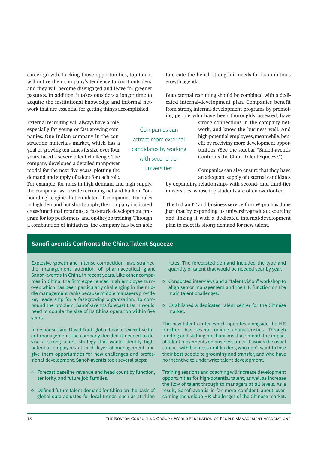career growth. Lacking those opportunities, top talent will notice their company's tendency to court outsiders, and they will become disengaged and leave for greener pastures. In addition, it takes outsiders a longer time to acquire the institutional knowledge and informal network that are essential for getting things accomplished.

External recruiting will always have a role, especially for young or fast-growing companies. One Indian company in the construction materials market, which has a goal of growing ten times its size over four years, faced a severe talent challenge. The company developed a detailed manpower model for the next five years, plotting the demand and supply of talent for each role.

For example, for roles in high demand and high supply, the company cast a wide recruiting net and built an "onboarding" engine that emulated IT companies. For roles in high demand but short supply, the company instituted cross-functional rotations, a fast-track development program for top performers, and on-the-job training. Through a combination of initiatives, the company has been able to create the bench strength it needs for its ambitious growth agenda.

But external recruiting should be combined with a dedicated internal-development plan. Companies benefit from strong internal-development programs by promoting people who have been thoroughly assessed, have

Companies can attract more external candidates by working with second-tier universities.

strong connections in the company network, and know the business well. And high-potential employees, meanwhile, benefit by receiving more development opportunities. (See the sidebar "Sanofi-aventis Confronts the China Talent Squeeze.")

Companies can also ensure that they have an adequate supply of external candidates

by expanding relationships with second- and third-tier universities, whose top students are often overlooked.

The Indian IT and business-service firm Wipro has done just that by expanding its university-graduate sourcing and linking it with a dedicated internal-development plan to meet its strong demand for new talent.

### **Sanofi-aventis Confronts the China Talent Squeeze**

Explosive growth and intense competition have strained the management attention of pharmaceutical giant Sanofi-aventis in China in recent years. Like other companies in China, the firm experienced high employee turnover, which has been particularly challenging in the middle management ranks because middle managers provide key leadership for a fast-growing organization. To compound the problem, Sanofi-aventis forecast that it would need to double the size of its China operation within five years.

In response, said David Ford, global head of executive talent management, the company decided it needed to devise a strong talent strategy that would identify highpotential employees at each layer of management and give them opportunities for new challenges and professional development. Sanofi-aventis took several steps:

- ◊ Forecast baseline revenue and head count by function, seniority, and future job families.
- $\diamond$  Defined future talent demand for China on the basis of global data adjusted for local trends, such as attrition

rates. The forecasted demand included the type and quantity of talent that would be needed year by year.

- ◊ Conducted interviews and a "talent vision" workshop to align senior management and the HR function on the main talent challenges.
- $\Diamond$  Established a dedicated talent center for the Chinese market.

The new talent center, which operates alongside the HR function, has several unique characteristics. Through funding and staffing mechanisms that smooth the impact of talent movements on business units, it avoids the usual conflict with business unit leaders, who don't want to lose their best people to grooming and transfer, and who have no incentive to underwrite talent development.

Training sessions and coaching will increase development opportunities for high-potential talent, as well as increase the flow of talent through to managers at all levels. As a result, Sanofi-aventis is far more confident about overcoming the unique HR challenges of the Chinese market.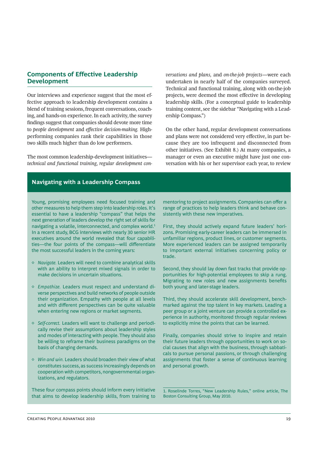## **Components of Effective Leadership Development**

Our interviews and experience suggest that the most effective approach to leadership development contains a blend of training sessions, frequent conversations, coaching, and hands-on experience. In each activity, the survey findings suggest that companies should devote more time to *people development* and *effective decision-making*. Highperforming companies rank their capabilities in those two skills much higher than do low performers.

The most common leadership-development initiatives *technical and functional training, regular development con-* *versations and plans,* and *on-the-job projects*—were each undertaken in nearly half of the companies surveyed. Technical and functional training, along with on-the-job projects, were deemed the most effective in developing leadership skills. (For a conceptual guide to leadership training content, see the sidebar "Navigating with a Leadership Compass.")

On the other hand, regular development conversations and plans were not considered very effective, in part because they are too infrequent and disconnected from other initiatives. (See Exhibit 8.) At many companies, a manager or even an executive might have just one conversation with his or her supervisor each year, to review

## **Navigating with a Leadership Compass**

Young, promising employees need focused training and other measures to help them step into leadership roles. It's essential to have a leadership "compass" that helps the next generation of leaders develop the right set of skills for navigating a volatile, interconnected, and complex world.<sup>1</sup> In a recent study, BCG interviews with nearly 30 senior HR executives around the world revealed that four capabilities-the four points of the compass-will differentiate the most successful leaders in the coming years:

- ◊ *Navigate.* Leaders will need to combine analytical skills with an ability to interpret mixed signals in order to make decisions in uncertain situations.
- ◊ *Empathize.* Leaders must respect and understand diverse perspectives and build networks of people outside their organization. Empathy with people at all levels and with different perspectives can be quite valuable when entering new regions or market segments.
- ◊ *Self-correct.* Leaders will want to challenge and periodically revise their assumptions about leadership styles and modes of interacting with people. They should also be willing to reframe their business paradigms on the basis of changing demands.
- ◊ *Win and win.* Leaders should broaden their view of what constitutes success, as success increasingly depends on cooperation with competitors, nongovernmental organizations, and regulators.

These four compass points should inform every initiative that aims to develop leadership skills, from training to mentoring to project assignments. Companies can offer a range of practices to help leaders think and behave consistently with these new imperatives.

First, they should actively expand future leaders' horizons. Promising early-career leaders can be immersed in unfamiliar regions, product lines, or customer segments. More experienced leaders can be assigned temporarily to important external initiatives concerning policy or trade.

Second, they should lay down fast tracks that provide opportunities for high-potential employees to skip a rung. Migrating to new roles and new assignments benefits both young and later-stage leaders.

Third, they should accelerate skill development, benchmarked against the top talent in key markets. Leading a peer group or a joint venture can provide a controlled experience in authority, monitored through regular reviews to explicitly mine the points that can be learned.

Finally, companies should strive to inspire and retain their future leaders through opportunities to work on social causes that align with the business, through sabbaticals to pursue personal passions, or through challenging assignments that foster a sense of continuous learning and personal growth.

1. Roselinde Torres, "New Leadership Rules," online article, The Boston Consulting Group, May 2010.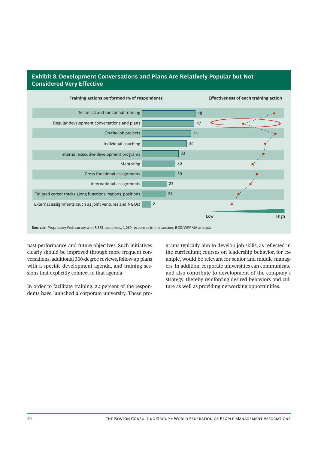## **Exhibit 8. Development Conversations and Plans Are Relatively Popular but Not Considered Very Effective**



past performance and future objectives. Such initiatives clearly should be improved through more frequent conversations, additional 360-degree reviews, follow-up plans with a specific development agenda, and training sessions that explicitly connect to that agenda.

In order to facilitate training, 22 percent of the respondents have launched a corporate university. These programs typically aim to develop job skills, as reflected in the curriculum; courses on leadership behavior, for example, would be relevant for senior and middle managers. In addition, corporate universities can communicate and also contribute to development of the company's strategy, thereby reinforcing desired behaviors and culture as well as providing networking opportunities.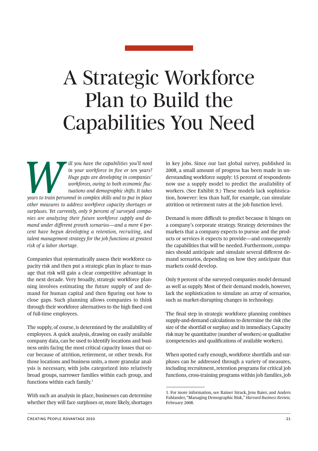## A Strategic Workforce Plan to Build the Capabilities You Need

*Will you have the capabilities you'll need*<br> *in your workforce in five or ten years?*<br> *Were gaps are developing in companies'*<br> *workforces, owing to both economic fluctuations and demographic shifts. It takes<br>
years to in your workforce in five or ten years? Huge gaps are developing in companies' workforces, owing to both economic fluctuations and demographic shi s. It takes other measures to address workforce capacity shortages or surpluses. Yet currently, only 9 percent of surveyed companies are analyzing their future workforce supply and de*mand under different growth scenarios—and a mere 6 per*cent have begun developing a retention, recruiting, and talent management strategy for the job functions at greatest risk of a labor shortage.* 

Companies that systematically assess their workforce capacity risk and then put a strategic plan in place to manage that risk will gain a clear competitive advantage in the next decade. Very broadly, strategic workforce planning involves estimating the future supply of and demand for human capital and then figuring out how to close gaps. Such planning allows companies to think through their workforce alternatives to the high fixed cost of full-time employees.

The supply, of course, is determined by the availability of employees. A quick analysis, drawing on easily available company data, can be used to identify locations and business units facing the most critical capacity losses that occur because of attrition, retirement, or other trends. For those locations and business units, a more granular analysis is necessary, with jobs categorized into relatively broad groups, narrower families within each group, and functions within each family.1

With such an analysis in place, businesses can determine whether they will face surpluses or, more likely, shortages in key jobs. Since our last global survey, published in 2008, a small amount of progress has been made in understanding workforce supply: 15 percent of respondents now use a supply model to predict the availability of workers. (See Exhibit 9.) These models lack sophistication, however: less than half, for example, can simulate attrition or retirement rates at the job function level.

Demand is more difficult to predict because it hinges on a company's corporate strategy. Strategy determines the markets that a company expects to pursue and the products or services it expects to provide—and consequently the capabilities that will be needed. Furthermore, companies should anticipate and simulate several different demand scenarios, depending on how they anticipate that markets could develop.

Only 9 percent of the surveyed companies model demand as well as supply. Most of their demand models, however, lack the sophistication to simulate an array of scenarios, such as market-disrupting changes in technology.

The final step in strategic workforce planning combines supply-and-demand calculations to determine the risk (the size of the shortfall or surplus) and its immediacy. Capacity risk may be quantitative (number of workers) or qualitative (competencies and qualifications of available workers).

When spotted early enough, workforce shortfalls and surpluses can be addressed through a variety of measures, including recruitment, retention programs for critical job functions, cross-training programs within job families, job

<sup>1.</sup> For more information, see Rainer Strack, Jens Baier, and Anders Fahlander, "Managing Demographic Risk," *Harvard Business Review,* February 2008.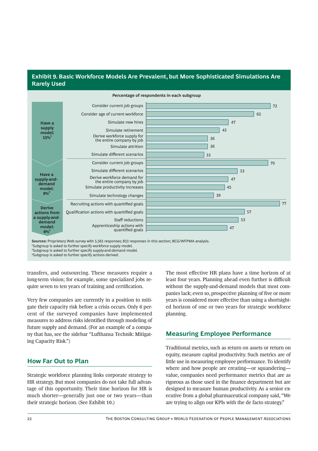## **Exhibit 9. Basic Workforce Models Are Prevalent, but More Sophisticated Simulations Are Rarely Used**



2 Subgroup is asked to further specify supply-and-demand model.

<sup>3</sup>Subgroup is asked to further specify actions derived.

transfers, and outsourcing. These measures require a long-term vision; for example, some specialized jobs require seven to ten years of training and certification.

Very few companies are currently in a position to mitigate their capacity risk before a crisis occurs. Only 6 percent of the surveyed companies have implemented measures to address risks identified through modeling of future supply and demand. (For an example of a company that has, see the sidebar "Lufthansa Technik: Mitigating Capacity Risk.")

## **How Far Out to Plan**

Strategic workforce planning links corporate strategy to HR strategy. But most companies do not take full advantage of this opportunity. Their time horizon for HR is much shorter—generally just one or two years—than their strategic horizon. (See Exhibit 10.)

The most effective HR plans have a time horizon of at least four years. Planning ahead even further is difficult without the supply-and-demand models that most companies lack; even so, prospective planning of five or more years is considered more effective than using a shortsighted horizon of one or two years for strategic workforce planning.

## **Measuring Employee Performance**

Traditional metrics, such as return on assets or return on equity, measure capital productivity. Such metrics are of little use in measuring employee performance. To identify where and how people are creating—or squandering value, companies need performance metrics that are as rigorous as those used in the finance department but are designed to measure human productivity. As a senior executive from a global pharmaceutical company said, "We are trying to align our KPIs with the de facto strategy."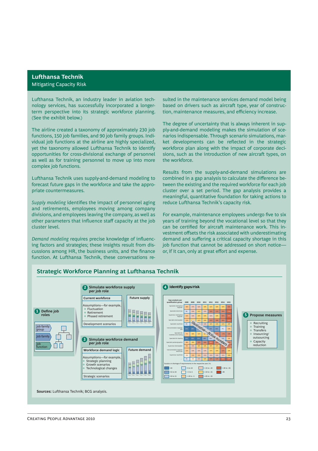## **Lufthansa Technik** Mitigating Capacity Risk

Lufthansa Technik, an industry leader in aviation technology services, has successfully incorporated a longerterm perspective into its strategic workforce planning. (See the exhibit below.)

The airline created a taxonomy of approximately 230 job functions, 150 job families, and 90 job family groups. Individual job functions at the airline are highly specialized, yet the taxonomy allowed Lufthansa Technik to identify opportunities for cross-divisional exchange of personnel as well as for training personnel to move up into more complex job functions.

Lufthansa Technik uses supply-and-demand modeling to forecast future gaps in the workforce and take the appropriate countermeasures.

*Supply modeling* identifies the impact of personnel aging and retirements, employees moving among company divisions, and employees leaving the company, as well as other parameters that influence staff capacity at the job cluster level.

**Demand modeling requires precise knowledge of influenc**ing factors and strategies; these insights result from discussions among HR, the business units, and the finance function. At Lufthansa Technik, these conversations resulted in the maintenance services demand model being based on drivers such as aircraft type, year of construction, maintenance measures, and efficiency increase.

The degree of uncertainty that is always inherent in supply-and-demand modeling makes the simulation of scenarios indispensable. Through scenario simulations, market developments can be reflected in the strategic workforce plan along with the impact of corporate decisions, such as the introduction of new aircraft types, on the workforce.

Results from the supply-and-demand simulations are combined in a gap analysis to calculate the difference between the existing and the required workforce for each job cluster over a set period. The gap analysis provides a meaningful, quantitative foundation for taking actions to reduce Lufthansa Technik's capacity risk.

For example, maintenance employees undergo five to six years of training beyond the vocational level so that they can be certified for aircraft maintenance work. This investment offsets the risk associated with underestimating demand and suffering a critical capacity shortage in this job function that cannot be addressed on short noticeor, if it can, only at great effort and expense.



## **Strategic Workforce Planning at Lufthansa Technik**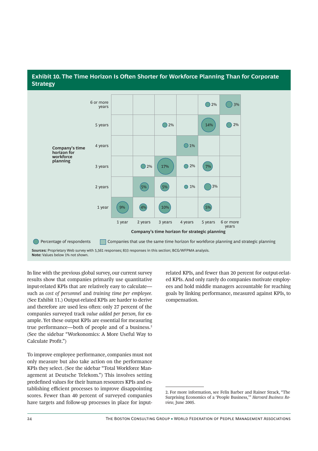## **Exhibit 10. The Time Horizon Is Often Shorter for Workforce Planning Than for Corporate Strategy**



**Note:** Values below 1% not shown.

In line with the previous global survey, our current survey results show that companies primarily use quantitative input-related KPIs that are relatively easy to calculate such as *cost of personnel* and *training time per employee.*  (See Exhibit 11.) Output-related KPIs are harder to derive and therefore are used less often: only 27 percent of the companies surveyed track *value added per person,* for example. Yet these output KPIs are essential for measuring true performance—both of people and of a business.<sup>2</sup> (See the sidebar "Workonomics: A More Useful Way to Calculate Profit.")

To improve employee performance, companies must not only measure but also take action on the performance KPIs they select. (See the sidebar "Total Workforce Management at Deutsche Telekom.") This involves setting predefined values for their human resources KPIs and establishing efficient processes to improve disappointing scores. Fewer than 40 percent of surveyed companies have targets and follow-up processes in place for inputrelated KPIs, and fewer than 20 percent for output-related KPIs. And only rarely do companies motivate employees and hold middle managers accountable for reaching goals by linking performance, measured against KPIs, to compensation.

<sup>2.</sup> For more information, see Felix Barber and Rainer Strack, "The Surprising Economics of a 'People Business,'" *Harvard Business Review,* June 2005.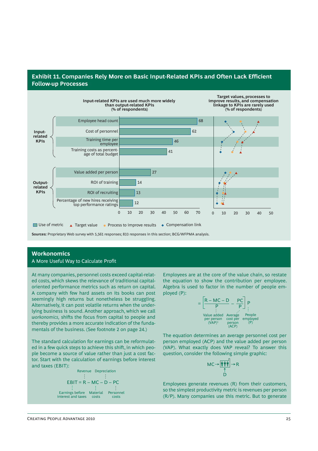## **Exhibit 11. Companies Rely More on Basic Input-Related KPIs and Often Lack Efficient Follow-up Processes**



**Sources:** Proprietary Web survey with 5,561 responses; 833 responses in this section; BCG/WFPMA analysis.

## **Workonomics**

#### A More Useful Way to Calculate Profit

At many companies, personnel costs exceed capital-related costs, which skews the relevance of traditional capitaloriented performance metrics such as return on capital. A company with few hard assets on its books can post seemingly high returns but nonetheless be struggling. Alternatively, it can post volatile returns when the underlying business is sound. Another approach, which we call *workonomics*, shifts the focus from capital to people and thereby provides a more accurate indication of the fundamentals of the business. (See footnote 2 on page 24.)

The standard calculation for earnings can be reformulated in a few quick steps to achieve this shift, in which people become a source of value rather than just a cost factor. Start with the calculation of earnings before interest and taxes (EBIT):

EBIT = R – MC – D – PC Earnings before interest and taxes Material costs Personnel costs Revenue Depreciation

Employees are at the core of the value chain, so restate the equation to show the contribution per employee. Algebra is used to factor in the number of people employed (P):

$$
= \frac{R - MC - D}{P} - \frac{PC}{P}
$$
  
Value added Average People  
per person cost per employed  
(MAP)<sup>1</sup> person (P)  
(ACP)

The equation determines an average personnel cost per person employed (ACP) and the value added per person (VAP). What exactly does VAP reveal? To answer this question, consider the following simple graphic:

$$
\mathsf{MC} \rightarrow \underbrace{\boxed{\overset{\bullet}{\mathbf{\mathsf{f}}}\;\overset{\bullet}{\mathsf{\mathsf{f}}\;}\overset{\bullet}{\mathsf{\mathsf{f}}}}_{\underset{\mathsf{D}}{\uparrow}} \rightarrow \mathsf{R}
$$

Employees generate revenues (R) from their customers, so the simplest productivity metric is revenues per person (R/P). Many companies use this metric. But to generate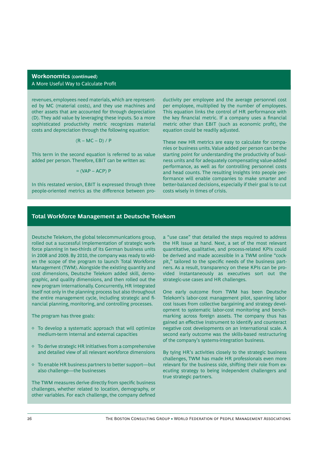### **Workonomics (continued)** A More Useful Way to Calculate Profit

revenues, employees need materials, which are represented by MC (material costs), and they use machines and other assets that are accounted for through depreciation (D). They add value by leveraging these inputs. So a more sophisticated productivity metric recognizes material costs and depreciation through the following equation:

$$
(R - MC - D) / P
$$

This term in the second equation is referred to as value added per person. Therefore, EBIT can be written as:

$$
= (VAP - ACP) P
$$

In this restated version, EBIT is expressed through three people-oriented metrics as the difference between productivity per employee and the average personnel cost per employee, multiplied by the number of employees. This equation links the control of HR performance with the key financial metric. If a company uses a financial metric other than EBIT (such as economic profit), the equation could be readily adjusted.

These new HR metrics are easy to calculate for companies or business units. Value added per person can be the starting point for understanding the productivity of business units and for adequately compensating value-added performance, as well as for controlling personnel costs and head counts. The resulting insights into people performance will enable companies to make smarter and better-balanced decisions, especially if their goal is to cut costs wisely in times of crisis.

### **Total Workforce Management at Deutsche Telekom**

Deutsche Telekom, the global telecommunications group, rolled out a successful implementation of strategic workforce planning in two-thirds of its German business units in 2008 and 2009. By 2010, the company was ready to widen the scope of the program to launch Total Workforce Management (TWM). Alongside the existing quantity and cost dimensions, Deutsche Telekom added skill, demographic, and quality dimensions, and then rolled out the new program internationally. Concurrently, HR integrated itself not only in the planning process but also throughout the entire management cycle, including strategic and financial planning, monitoring, and controlling processes.

The program has three goals:

- $\diamond$  To develop a systematic approach that will optimize medium-term internal and external capacities
- $\Diamond$  To derive strategic HR initiatives from a comprehensive and detailed view of all relevant workforce dimensions
- ◊ To enable HR business partners to better support—but also challenge—the businesses

The TWM measures derive directly from specific business challenges, whether related to location, demography, or other variables. For each challenge, the company defined

a "use case" that detailed the steps required to address the HR issue at hand. Next, a set of the most relevant quantitative, qualitative, and process-related KPIs could be derived and made accessible in a TWM online "cockpit," tailored to the specific needs of the business partners. As a result, transparency on these KPIs can be provided instantaneously as executives sort out the strategic-use cases and HR challenges.

One early outcome from TWM has been Deutsche Telekom's labor-cost management pilot, spanning labor cost issues from collective bargaining and strategy development to systematic labor-cost monitoring and benchmarking across foreign assets. The company thus has gained an effective instrument to identify and counteract negative cost developments on an international scale. A second early outcome was the skills-based restructuring of the company's systems-integration business.

By tying HR's activities closely to the strategic business challenges, TWM has made HR professionals even more relevant for the business side, shifting their role from executing strategy to being independent challengers and true strategic partners.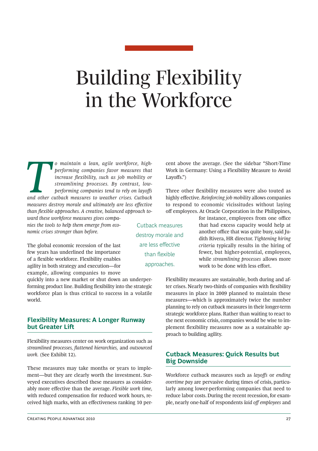## Building Flexibility in the Workforce

*To maintain a lean, agile workforce, high-performing companies favor measures that increase flexibility, such as job mobility or streamlining processes. By contrast, low-performing companies tend to rely on layoffs and ot performing companies favor measures that increase flexibility, such as job mobility or streamlining processes. By contrast, lowperforming companies tend to rely on layoffs measures destroy morale and ultimately are less effective than flexible approaches. A creative, balanced approach toward these workforce measures gives compa-*

*nies the tools to help them emerge from economic crises stronger than before.*

The global economic recession of the last few years has underlined the importance of a flexible workforce. Flexibility enables agility in both strategy and execution—for example, allowing companies to move

quickly into a new market or shut down an underperforming product line. Building flexibility into the strategic workforce plan is thus critical to success in a volatile world.

## **Flexibility Measures: A Longer Runway but Greater Lift**

Flexibility measures center on work organization such as *streamlined processes, fl attened hierarchies,* and *outsourced work.* (See Exhibit 12).

These measures may take months or years to implement—but they are clearly worth the investment. Surveyed executives described these measures as considerably more effective than the average. *Flexible work time*, with reduced compensation for reduced work hours, received high marks, with an effectiveness ranking 10 per-

cent above the average. (See the sidebar "Short-Time Work in Germany: Using a Flexibility Measure to Avoid Layoffs." $)$ 

Three other flexibility measures were also touted as highly effective. *Reinforcing job mobility* allows companies to respond to economic vicissitudes without laying off employees. At Oracle Corporation in the Philippines,

Cutback measures destroy morale and are less effective than flexible approaches.

for instance, employees from one office that had excess capacity would help at another office that was quite busy, said Judith Rivera, HR director. *Tightening hiring criteria* typically results in the hiring of fewer, but higher-potential, employees, while *streamlining processes* allows more work to be done with less effort.

Flexibility measures are sustainable, both during and after crises. Nearly two-thirds of companies with flexibility measures in place in 2009 planned to maintain these measures—which is approximately twice the number planning to rely on cutback measures in their longer-term strategic workforce plans. Rather than waiting to react to the next economic crisis, companies would be wise to implement flexibility measures now as a sustainable approach to building agility.

## **Cutback Measures: Quick Results but Big Downside**

Workforce cutback measures such as *layoffs* or *ending overtime pay* are pervasive during times of crisis, particularly among lower-performing companies that need to reduce labor costs. During the recent recession, for example, nearly one-half of respondents *laid off employees* and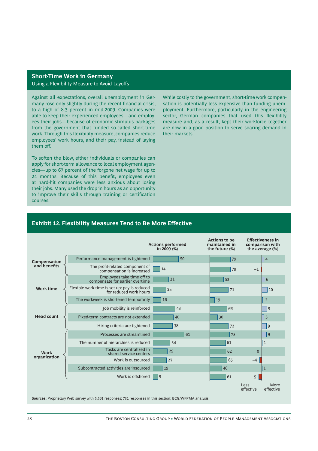## **Short-Time Work in Germany** Using a Flexibility Measure to Avoid Layoffs

Against all expectations, overall unemployment in Germany rose only slightly during the recent financial crisis, to a high of 8.3 percent in mid-2009. Companies were able to keep their experienced employees—and employees their jobs—because of economic stimulus packages from the government that funded so-called short-time work. Through this flexibility measure, companies reduce employees' work hours, and their pay, instead of laying them off .

To soften the blow, either individuals or companies can apply for short-term allowance to local employment agencies—up to 67 percent of the forgone net wage for up to 24 months. Because of this benefit, employees even at hard-hit companies were less anxious about losing their jobs. Many used the drop in hours as an opportunity to improve their skills through training or certification courses.

While costly to the government, short-time work compensation is potentially less expensive than funding unemployment. Furthermore, particularly in the engineering sector, German companies that used this flexibility measure and, as a result, kept their workforce together are now in a good position to serve soaring demand in their markets.

## **Exhibit 12. Flexibility Measures Tend to Be More Effective**

|                   |                                                                        | <b>Actions performed</b><br>in 2009 (%) | <b>Actions to be</b><br>maintained in<br>the future $(\%)$ | <b>Effectiveness in</b><br>comparison with<br>the average (%) |
|-------------------|------------------------------------------------------------------------|-----------------------------------------|------------------------------------------------------------|---------------------------------------------------------------|
| Compensation      | Performance management is tightened                                    | 50                                      | 79                                                         | 4                                                             |
| and benefits      | The profit-related component of<br>compensation is increased           | 14                                      | 79                                                         | $-1$                                                          |
|                   | Employees take time off to<br>compensate for earlier overtime          | 31                                      | 53                                                         | 6                                                             |
| <b>Work time</b>  | Flexible work time is set up: pay is reduced<br>for reduced work hours | 25                                      | 71                                                         | 10                                                            |
|                   | The workweek is shortened temporarily                                  | 16                                      | 19                                                         | $\overline{2}$                                                |
|                   | Job mobility is reinforced                                             | 43                                      | 66                                                         | <u>9</u>                                                      |
| <b>Head count</b> | Fixed-term contracts are not extended                                  | 40                                      | 30                                                         | 5                                                             |
|                   | Hiring criteria are tightened                                          | 38                                      | 72                                                         | 9                                                             |
|                   | Processes are streamlined                                              | 61                                      | 75                                                         | 9                                                             |
|                   | The number of hierarchies is reduced                                   | 34                                      | 61                                                         | $\mathbf{1}$                                                  |
| <b>Work</b>       | Tasks are centralized in<br>shared service centers                     | 29                                      | 62                                                         | $\mathbf{0}$                                                  |
| organization      | Work is outsourced                                                     | 27                                      | 65                                                         | $-4$                                                          |
|                   | Subcontracted activities are insourced                                 | 19                                      | 46                                                         | $\mathbf{1}$                                                  |
|                   | Work is offshored                                                      | 9                                       | 61                                                         | $-5$                                                          |
|                   |                                                                        |                                         |                                                            | More<br>Less<br>effective<br>effective                        |

**Sources:** Proprietary Web survey with 5,561 responses; 731 responses in this section; BCG/WFPMA analysis.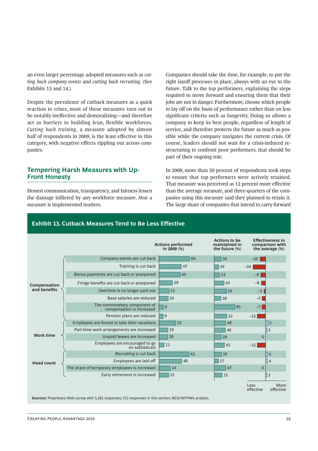an even larger percentage adopted measures such as *cutting back company events* and *cutting back recruiting.* (See Exhibits 13 and 14.)

Despite the prevalence of cutback measures as a quick reaction to crises, most of these measures turn out to be notably ineffective and demoralizing—and therefore act as barriers to building lean, flexible workforces. *Cutting back training,* a measure adopted by almost half of respondents in 2009, is the least effective in this category, with negative effects rippling out across companies.

## **Tempering Harsh Measures with Up-Front Honesty**

Honest communication, transparency, and fairness lessen the damage inflicted by any workforce measure. *How* a measure is implemented matters.

Companies should take the time, for example, to put the right layoff processes in place, always with an eye to the future. Talk to the top performers, explaining the steps required to move forward and ensuring them that their jobs are not in danger. Furthermore, choose which people to lay off on the basis of performance rather than on less significant criteria such as longevity. Doing so allows a company to keep its best people, regardless of length of service, and therefore protects the future as much as possible while the company navigates the current crisis. Of course, leaders should not wait for a crisis-induced restructuring to confront poor performers; that should be part of their ongoing role.

In 2009, more than 50 percent of respondents took steps to ensure that top performers were actively retained. That measure was perceived as 12 percent more effective than the average measure, and three-quarters of the companies using this measure said they planned to retain it. The large share of companies that intend to carry forward

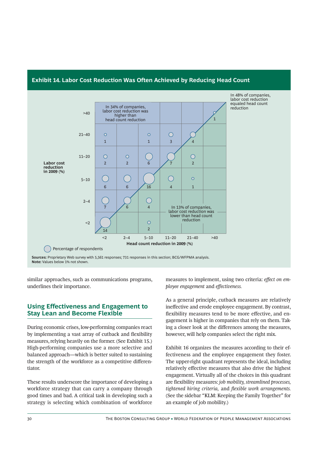

## **Exhibit 14. Labor Cost Reduction Was Often Achieved by Reducing Head Count**

similar approaches, such as communications programs, underlines their importance.

## **Using Effectiveness and Engagement to Stay Lean and Become Flexible**

During economic crises, low-performing companies react by implementing a vast array of cutback and flexibility measures, relying heavily on the former. (See Exhibit 15.) High-performing companies use a more selective and balanced approach—which is better suited to sustaining the strength of the workforce as a competitive differentiator.

These results underscore the importance of developing a workforce strategy that can carry a company through good times and bad. A critical task in developing such a strategy is selecting which combination of workforce measures to implement, using two criteria: *effect on employee engagement* and *eff ectiveness.*

As a general principle, cutback measures are relatively ineffective and erode employee engagement. By contrast, flexibility measures tend to be more effective, and engagement is higher in companies that rely on them. Taking a closer look at the differences among the measures, however, will help companies select the right mix.

Exhibit 16 organizes the measures according to their effectiveness and the employee engagement they foster. The upper-right quadrant represents the ideal, including relatively effective measures that also drive the highest engagement. Virtually all of the choices in this quadrant are flexibility measures: *job mobility, streamlined processes, tightened hiring criteria, and flexible work arrangements.* (See the sidebar "KLM: Keeping the Family Together" for an example of job mobility.)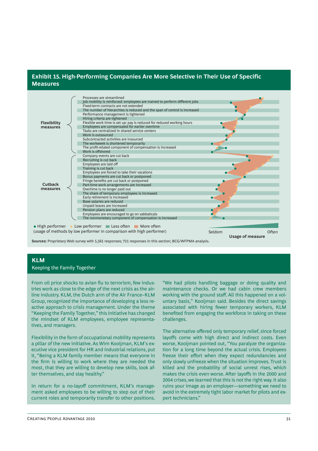## **Exhibit 15. High-Performing Companies Are More Selective in Their Use of Specific Measures**



**Sources:** Proprietary Web survey with 5,561 responses; 731 responses in this section; BCG/WFPMA analysis.

#### **KLM**

#### Keeping the Family Together

From oil price shocks to avian flu to terrorism, few industries work as close to the edge of the next crisis as the airline industry. KLM, the Dutch arm of the Air France–KLM Group, recognized the importance of developing a less reactive approach to crisis management. Under the theme "Keeping the Family Together," this initiative has changed the mindset of KLM employees, employee representatives, and managers.

Flexibility in the form of occupational mobility represents a pillar of the new initiative. As Wim Kooijman, KLM's executive vice president for HR and industrial relations, put it, "Being a KLM family member means that everyone in the firm is willing to work where they are needed the most, that they are willing to develop new skills, look after themselves, and stay healthy."

In return for a no-layoff commitment, KLM's management asked employees to be willing to step out of their current roles and temporarily transfer to other positions.

"We had pilots handling baggage or doing quality and maintenance checks. Or we had cabin crew members working with the ground staff. All this happened on a voluntary basis," Kooijman said. Besides the direct savings associated with hiring fewer temporary workers, KLM benefited from engaging the workforce in taking on these challenges.

The alternative offered only temporary relief, since forced layoffs come with high direct and indirect costs. Even worse, Kooijman pointed out, "You paralyze the organization for a long time beyond the actual crisis. Employees freeze their effort when they expect redundancies and only slowly unfreeze when the situation improves. Trust is killed and the probability of social unrest rises, which makes the crisis even worse. After layoffs in the 2000 and 2004 crises, we learned that this is not the right way. It also ruins your image as an employer—something we need to avoid in the extremely tight labor market for pilots and expert technicians."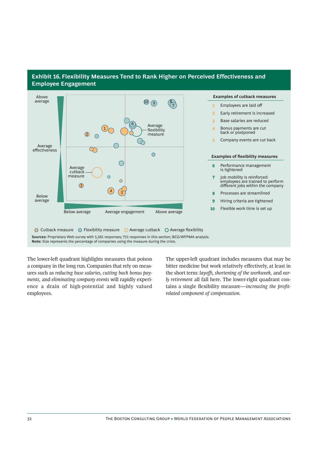

## **Exhibit 16. Flexibility Measures Tend to Rank Higher on Perceived Effectiveness and Employee Engagement**

**Sources:** Proprietary Web survey with 5,561 responses; 731 responses in this section; BCG/WFPMA analysis. **Note:** Size represents the percentage of companies using the measure during the crisis.

The lower-left quadrant highlights measures that poison a company in the long run. Companies that rely on measures such as *reducing base salaries, cutting back bonus payments,* and *eliminating company events* will rapidly experience a drain of high-potential and highly valued employees.

The upper-left quadrant includes measures that may be bitter medicine but work relatively effectively, at least in the short term: *layoff s, shortening of the workweek,* and *early retirement* all fall here. The lower-right quadrant contains a single flexibility measure—*increasing the profitrelated component of compensation.*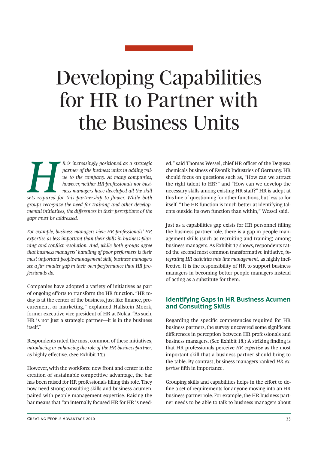## Developing Capabilities for HR to Partner with the Business Units

*Here is increasingly positioned as a strategic partner of the business units in adding value to the company. At many companies, however, neither HR professionals nor business managers have developed all the skill sets req partner of the business units in adding value to the company. At many companies, however, neither HR professionals nor business managers have developed all the skill groups recognize the need for training and other developmental initiatives, the diff erences in their perceptions of the gaps must be addressed.* 

*For example, business managers view HR professionals' HR expertise as less important than their skills in business planning and conflict resolution. And, while both groups agree that business managers' handling of poor performers is their most important people-management skill, business managers see a far smaller gap in their own performance than HR professionals do.*

Companies have adopted a variety of initiatives as part of ongoing efforts to transform the HR function. "HR today is at the center of the business, just like finance, procurement, or marketing," explained Hallstein Moerk, former executive vice president of HR at Nokia. "As such, HR is not just a strategic partner—it is in the business itself."

Respondents rated the most common of these initiatives, *introducing or enhancing the role of the HR business partner,* as highly effective. (See Exhibit 17.)

However, with the workforce now front and center in the creation of sustainable competitive advantage, the bar has been raised for HR professionals filling this role. They now need strong consulting skills and business acumen, paired with people management expertise. Raising the bar means that "an internally focused HR for HR is need-

ed," said Thomas Wessel, chief HR officer of the Degussa chemicals business of Evonik Industries of Germany. HR should focus on questions such as, "How can we attract the right talent to HR?" and "How can we develop the necessary skills among existing HR staff?" HR is adept at this line of questioning for other functions, but less so for itself. "The HR function is much better at identifying talents outside its own function than within," Wessel said.

Just as a capabilities gap exists for HR personnel filling the business partner role, there is a gap in people management skills (such as recruiting and training) among business managers. As Exhibit 17 shows, respondents rated the second most common transformative initiative, *integrating HR activities into line management,* as highly ineffective. It is the responsibility of HR to support business managers in becoming better people managers instead of acting as a substitute for them.

## **Identifying Gaps in HR Business Acumen and Consulting Skills**

Regarding the specific competencies required for HR business partners, the survey uncovered some significant differences in perception between HR professionals and business managers. (See Exhibit 18.) A striking finding is that HR professionals perceive *HR expertise* as the most important skill that a business partner should bring to the table. By contrast, business managers ranked *HR expertise* fifth in importance.

Grouping skills and capabilities helps in the effort to define a set of requirements for anyone moving into an HR business-partner role. For example, the HR business partner needs to be able to talk to business managers about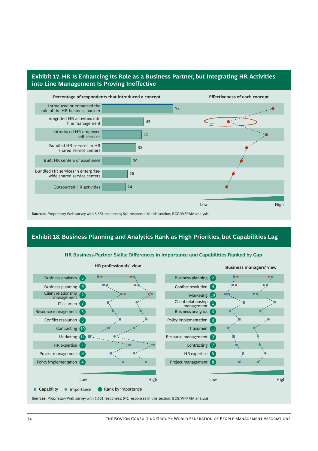## **Exhibit 17. HR Is Enhancing Its Role as a Business Partner, but Integrating HR Activities into Line Management Is Proving Ineffective**



## **Exhibit 18. Business Planning and Analytics Rank as High Priorities, but Capabilities Lag**



**HR Business-Partner Skills: Differences in Importance and Capabilities Ranked by Gap**

**Sources:** Proprietary Web survey with 5,561 responses; 641 responses in this section; BCG/WFPMA analysis.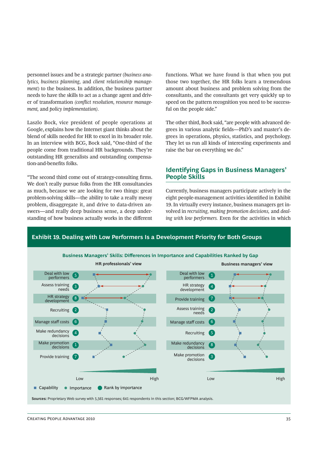personnel issues and be a strategic partner (*business analytics, business planning,* and *client relationship management*) to the business. In addition, the business partner needs to have the skills to act as a change agent and driver of transformation *(conflict resolution, resource management,* and *policy implementation).*

Laszlo Bock, vice president of people operations at Google, explains how the Internet giant thinks about the blend of skills needed for HR to excel in its broader role. In an interview with BCG, Bock said, "One-third of the people come from traditional HR backgrounds. They're outstanding HR generalists and outstanding compensation-and-benefits folks.

"The second third come out of strategy-consulting firms. We don't really pursue folks from the HR consultancies as much, because we are looking for two things: great problem-solving skills—the ability to take a really messy problem, disaggregate it, and drive to data-driven answers—and really deep business sense, a deep understanding of how business actually works in the different functions. What we have found is that when you put those two together, the HR folks learn a tremendous amount about business and problem solving from the consultants, and the consultants get very quickly up to speed on the pattern recognition you need to be successful on the people side."

The other third, Bock said, "are people with advanced degrees in various analytic fields—PhD's and master's degrees in operations, physics, statistics, and psychology. They let us run all kinds of interesting experiments and raise the bar on everything we do."

## **Identifying Gaps in Business Managers' People Skills**

Currently, business managers participate actively in the eight people-management activities identified in Exhibit 19. In virtually every instance, business managers get involved in *recruiting, making promotion decisions,* and *dealing with low performers.* Even for the activities in which



**Exhibit 19. Dealing with Low Performers Is a Development Priority for Both Groups**

**Sources:** Proprietary Web survey with 5,561 responses; 641 respondents in this section; BCG/WFPMA analysis.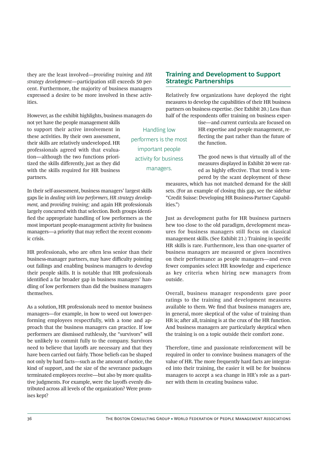they are the least involved—*providing training* and *HR strategy development*—participation still exceeds 50 percent. Furthermore, the majority of business managers expressed a desire to be more involved in these activities.

However, as the exhibit highlights, business managers do

not yet have the people management skills to support their active involvement in these activities. By their own assessment, their skills are relatively undeveloped. HR professionals agreed with that evaluation—although the two functions prioritized the skills differently, just as they did with the skills required for HR business partners.

In their self-assessment, business managers' largest skills gaps lie in *dealing with low performers, HR strategy development,* and *providing training;* and again HR professionals largely concurred with that selection. Both groups identified the appropriate handling of low performers as the most important people-management activity for business managers—a priority that may reflect the recent economic crisis.

HR professionals, who are often less senior than their business-manager partners, may have difficulty pointing out failings and enabling business managers to develop their people skills. It is notable that HR professionals identified a far broader gap in business managers' handling of low performers than did the business managers themselves.

As a solution, HR professionals need to mentor business managers—for example, in how to weed out lower-performing employees respectfully, with a tone and approach that the business managers can practice. If low performers are dismissed ruthlessly, the "survivors" will be unlikely to commit fully to the company. Survivors need to believe that layoffs are necessary and that they have been carried out fairly. Those beliefs can be shaped not only by hard facts—such as the amount of notice, the kind of support, and the size of the severance packages terminated employees receive—but also by more qualitative judgments. For example, were the layoffs evenly distributed across all levels of the organization? Were promises kept?

Handling low performers is the most important people activity for business managers.

## **Training and Development to Support Strategic Partnerships**

Relatively few organizations have deployed the right measures to develop the capabilities of their HR business partners on business expertise. (See Exhibit 20.) Less than half of the respondents offer training on business exper-

> tise—and current curricula are focused on HR expertise and people management, reflecting the past rather than the future of the function.

> The good news is that virtually all of the measures displayed in Exhibit 20 were rated as highly effective. That trend is tempered by the scant deployment of these

measures, which has not matched demand for the skill sets. (For an example of closing this gap, see the sidebar "Credit Suisse: Developing HR Business-Partner Capabilities.")

Just as development paths for HR business partners hew too close to the old paradigm, development measures for business managers still focus on classical management skills. (See Exhibit 21.) Training in specific HR skills is rare. Furthermore, less than one-quarter of business managers are measured or given incentives on their performance as people managers—and even fewer companies select HR knowledge and experience as key criteria when hiring new managers from outside.

Overall, business manager respondents gave poor ratings to the training and development measures available to them. We find that business managers are, in general, more skeptical of the value of training than HR is; after all, training is at the crux of the HR function. And business managers are particularly skeptical when the training is on a topic outside their comfort zone.

Therefore, time and passionate reinforcement will be required in order to convince business managers of the value of HR. The more frequently hard facts are integrated into their training, the easier it will be for business managers to accept a sea change in HR's role as a partner with them in creating business value.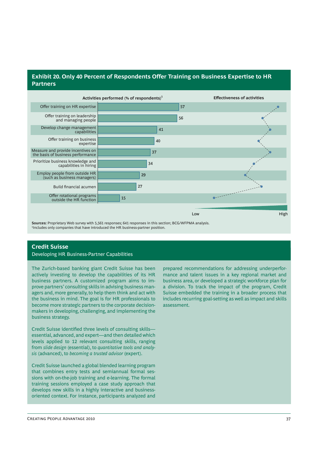## **Exhibit 20. Only 40 Percent of Respondents Offer Training on Business Expertise to HR Partners**



**Sources:** Proprietary Web survey with 5,561 responses; 641 responses in this section; BCG/WFPMA analysis. <sup>1</sup>Includes only companies that have introduced the HR business-partner position.

### **Credit Suisse**

Developing HR Business-Partner Capabilities

The Zurich-based banking giant Credit Suisse has been actively investing to develop the capabilities of its HR business partners. A customized program aims to improve partners' consulting skills in advising business managers and, more generally, to help them think and act with the business in mind. The goal is for HR professionals to become more strategic partners to the corporate decisionmakers in developing, challenging, and implementing the business strategy.

Credit Suisse identified three levels of consulting skillsessential, advanced, and expert—and then detailed which levels applied to 12 relevant consulting skills, ranging from *slide design* (essential), to *quantitative tools and analysis* (advanced), to *becoming a trusted advisor* (expert).

Credit Suisse launched a global blended learning program that combines entry tests and semiannual formal sessions with on-the-job training and e-learning. The formal training sessions employed a case study approach that develops new skills in a highly interactive and businessoriented context. For instance, participants analyzed and

prepared recommendations for addressing underperformance and talent issues in a key regional market and business area, or developed a strategic workforce plan for a division. To track the impact of the program, Credit Suisse embedded the training in a broader process that includes recurring goal-setting as well as impact and skills assessment.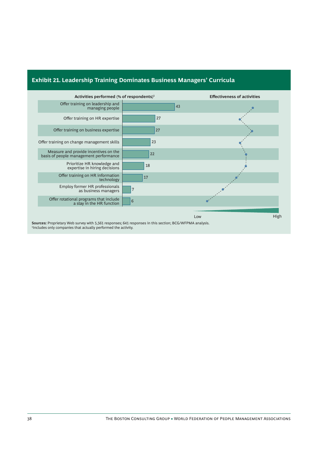

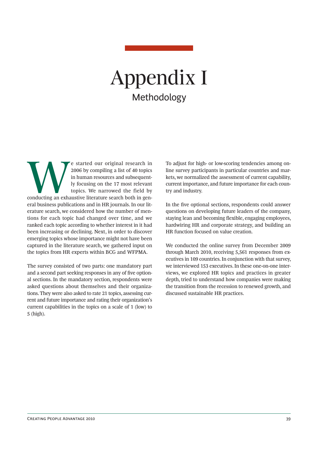## Appendix I Methodology

Exacted our original research in a part of 40 topics in human resources and subsequent-<br>ty focusing on the 17 most relevant topics. We narrowed the field by<br>conducting an exhaustive literature search both in gen-2006 by compiling a list of 40 topics in human resources and subsequently focusing on the 17 most relevant topics. We narrowed the field by eral business publications and in HR journals. In our literature search, we considered how the number of mentions for each topic had changed over time, and we ranked each topic according to whether interest in it had been increasing or declining. Next, in order to discover emerging topics whose importance might not have been captured in the literature search, we gathered input on the topics from HR experts within BCG and WFPMA.

The survey consisted of two parts: one mandatory part and a second part seeking responses in any of five optional sections. In the mandatory section, respondents were asked questions about themselves and their organizations. They were also asked to rate 21 topics, assessing current and future importance and rating their organization's current capabilities in the topics on a scale of 1 (low) to 5 (high).

To adjust for high- or low-scoring tendencies among online survey participants in particular countries and markets, we normalized the assessment of current capability, current importance, and future importance for each country and industry.

In the five optional sections, respondents could answer questions on developing future leaders of the company, staying lean and becoming flexible, engaging employees, hardwiring HR and corporate strategy, and building an HR function focused on value creation.

We conducted the online survey from December 2009 through March 2010, receiving 5,561 responses from executives in 109 countries. In conjunction with that survey, we interviewed 153 executives. In these one-on-one interviews, we explored HR topics and practices in greater depth, tried to understand how companies were making the transition from the recession to renewed growth, and discussed sustainable HR practices.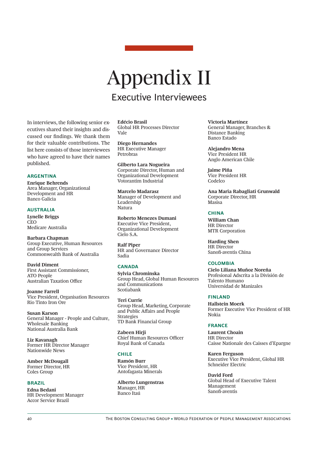## Appendix II Executive Interviewees

In interviews, the following senior executives shared their insights and discussed our findings. We thank them for their valuable contributions. The list here consists of those interviewees who have agreed to have their names published.

#### **ARGENTINA**

**Enrique Behrends** Area Manager, Organizational Development and HR Banco Galicia

#### **AUSTRALIA**

**Lynelle Briggs CEO** Medicare Australia

**Barbara Chapman** Group Executive, Human Resources and Group Services Commonwealth Bank of Australia

**David Diment** First Assistant Commissioner, ATO People **Australian Taxation Office** 

**Joanne Farrell** Vice President, Organisation Resources Rio Tinto Iron Ore

**Susan Karson** General Manager - People and Culture, Wholesale Banking National Australia Bank

**Liz Kavanagh** Former HR Director Manager Nationwide News

**Amber McDougall** Former Director, HR Coles Group

#### **BRAZIL**

**Edna Bedani** HR Development Manager Accor Service Brazil

**Edécio Brasil** Global HR Processes Director Vale

**Diego Hernandes** HR Executive Manager Petrobras

**Gilberto Lara Nogueira** Corporate Director, Human and Organizational Development Votorantim Industrial

**Marcelo Madarasz** Manager of Development and Leadership Natura

**Roberto Menezes Dumani** Executive Vice President, Organizational Development Cielo S.A.

**Ralf Piper** HR and Governance Director Sadia

#### **CANADA**

**Sylvia Chrominska** Group Head, Global Human Resources and Communications Scotiabank

**Teri Currie** Group Head, Marketing, Corporate and Public Affairs and People Strategies TD Bank Financial Group

**Zabeen Hirji** Chief Human Resources Officer Royal Bank of Canada

#### **CHILE**

**Ramón Burr** Vice President, HR Antofagasta Minerals

**Alberto Lungenstras** Manager, HR Banco Itaú

**Victoria Martínez** General Manager, Branches & Distance Banking Banco Estado

**Alejandro Mena** Vice President HR Anglo American Chile

**Jaime Piña** Vice President HR Codelco

**Ana Maria Rabagliati Grunwald** Corporate Director, HR Masisa

#### **CHINA**

**William Chan** HR Director MTR Corporation

**Harding Shen** HR Director Sanofi -aventis China

#### **COLOMBIA**

**Cielo Liliana Muñoz Noreña** Profesional Adscrita a la División de Talento Humano Universidad de Manizales

#### **FINLAND**

**Hallstein Moerk** Former Executive Vice President of HR Nokia

#### **FRANCE**

**Laurent Choain** HR Director Caisse Nationale des Caisses d'Epargne

**Karen Ferguson** Executive Vice President, Global HR Schneider Electric

**David Ford** Global Head of Executive Talent Management Sanofi -aventis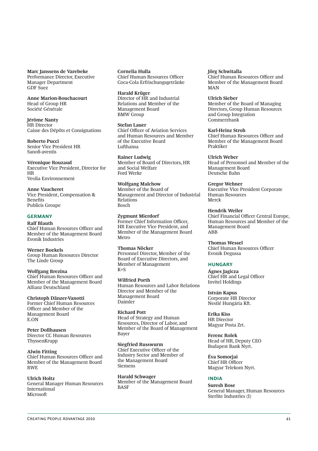#### **Marc Janssens de Varebeke** Performance Director, Executive

Manager Department GDF Suez

#### **Anne Marion-Bouchacourt** Head of Group HR

Société Générale

**Jérôme Nanty** HR Director Caisse des Dépôts et Consignations

**Roberto Pucci** Senior Vice President HR Sanofi -aventis

**Véronique Rouzaud** Executive Vice President, Director for HR Veolia Environnement

**Anne Vaucheret** Vice President, Compensation & **Benefits** Publicis Groupe

#### **GERMANY**

**Ralf Blauth** Chief Human Resources Officer and Member of the Management Board Evonik Industries

**Werner Boekels**

Group Human Resources Director The Linde Group

**Wolfgang Brezina**

Chief Human Resources Officer and Member of the Management Board Allianz Deutschland

#### **Christoph Dänzer-Vanotti**

Former Chief Human Resources Officer and Member of the Management Board E.ON

**Peter Dollhausen**  Director CC Human Resources ThyssenKrupp

**Alwin Fitting** Chief Human Resources Officer and Member of the Management Board RWE

**Ulrich Holtz** General Manager Human Resources International

**Microsoft** 

**Cornelia Hulla** Chief Human Resources Officer Coca-Cola Erfrischungsgetränke

**Harald Krüger** Director of HR and Industrial Relations and Member of the Management Board BMW Group

**Stefan Lauer** Chief Officer of Aviation Services and Human Resources and Member of the Executive Board Lufthansa

**Rainer Ludwig** Member of Board of Directors, HR and Social Welfare Ford Werke

**Wolfgang Malchow** Member of the Board of Management and Director of Industrial Relations Bosch

**Zygmunt Mierdorf** Former Chief Information Officer, HR Executive Vice President, and Member of the Management Board Metro

**Thomas Nöcker** Personnel Director, Member of the Board of Executive Directors, and Member of Management  $K+S$ 

**Wilfried Porth** Human Resources and Labor Relations Director and Member of the Management Board Daimler

**Richard Pott** Head of Strategy and Human Resources, Director of Labor, and Member of the Board of Management Bayer

**Siegfried Russwurm** Chief Executive Officer of the Industry Sector and Member of the Management Board Siemens

**Harald Schwager** Member of the Management Board BASF

**Jörg Schwitalla** Chief Human Resources Officer and Member of the Management Board MAN

**Ulrich Sieber** Member of the Board of Managing Directors, Group Human Resources and Group Integration Commerzbank

**Karl-Heinz Stroh** Chief Human Resources Officer and Member of the Management Board Praktiker

**Ulrich Weber** Head of Personnel and Member of the Management Board Deutsche Bahn

**Gregor Wehner** Executive Vice President Corporate Human Resources Merck

#### **Hendrik Weiler**

Chief Financial Officer Central Europe, Human Resources and Member of the Management Board ABB

**Thomas Wessel** Chief Human Resources Officer Evonik Degussa

#### **HUNGARY**

**Ágnes Jagicza** Chief HR and Legal Officer Invitel Holdings

**István Kapus** Corporate HR Director Nestlé Hungária Kft.

**Erika Kiss** HR Director Magyar Posta Zrt.

**Ferenc Rolek** Head of HR, Deputy CEO Budapest Bank Nyrt.

**Éva Somorjai** Chief HR Officer Magyar Telekom Nyrt.

#### **INDIA**

**Suresh Bose** General Manager, Human Resources Sterlite Industries (I)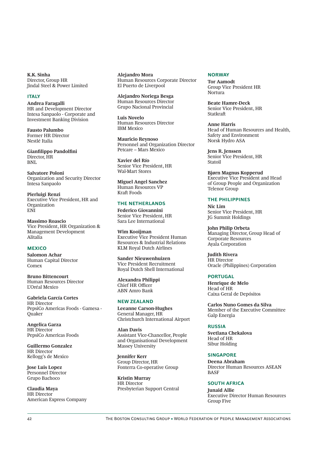**K.K. Sinha** Director, Group HR Jindal Steel & Power Limited

#### **ITALY**

**Andrea Faragalli** HR and Development Director Intesa Sanpaolo - Corporate and Investment Banking Division

**Fausto Palumbo** Former HR Director Nestlé Italia

**Gianfilippo Pandolfini** Director, HR BNL

**Salvatore Poloni** Organization and Security Director Intesa Sanpaolo

**Pierluigi Renzi** Executive Vice President, HR and Organization ENI

**Massimo Roascio** Vice President, HR Organization & Management Development Alitalia

#### **MEXICO**

**Salomon Achar** Human Capital Director Comex

**Bruno Bittencourt** Human Resources Director L'Oréal Mexico

**Gabriela García Cortes** HR Director PepsiCo Americas Foods - Gamesa - **Ouaker** 

**Angelica Garza** HR Director PepsiCo Americas Foods

**Guillermo Gonzalez** HR Director Kellogg's de Mexico

**Jose Luis Lopez** Personnel Director Grupo Bachoco

**Claudia Maya** HR Director American Express Company **Alejandro Mora** Human Resources Corporate Director El Puerto de Liverpool

**Alejandro Noriega Besga** Human Resources Director Grupo Nacional Provincial

**Luis Novelo** Human Resources Director IBM Mexico

**Mauricio Reynoso** Personnel and Organization Director Petcare – Mars Mexico

**Xavier del Río** Senior Vice President, HR Wal-Mart Stores

**Miguel Angel Sanchez** Human Resources VP Kraft Foods

#### **THE NETHERLANDS**

**Federico Giovannini** Senior Vice President, HR Sara Lee International

**Wim Kooijman** Executive Vice President Human Resources & Industrial Relations KLM Royal Dutch Airlines

**Sander Nieuwenhuizen** Vice President Recruitment Royal Dutch Shell International

**Alexandra Philippi** Chief HR Officer ABN Amro Bank

#### **NEW ZEALAND**

**Leeanne Carson-Hughes** General Manager, HR Christchurch International Airport

**Alan Davis** Assistant Vice-Chancellor, People and Organisational Development Massey University

**Jennifer Kerr** Group Director, HR Fonterra Co-operative Group

**Kristin Murray** HR Director Presbyterian Support Central

#### **NORWAY**

**Tor Aamodt** Group Vice President HR Nortura

**Beate Hamre-Deck** Senior Vice President, HR **Statkraft** 

**Anne Harris** Head of Human Resources and Health, Safety and Environment Norsk Hydro ASA

**Jens R. Jenssen** Senior Vice President, HR Statoil

**Bjørn Magnus Kopperud** Executive Vice President and Head of Group People and Organization Telenor Group

#### **THE PHILIPPINES**

**Nic Lim** Senior Vice President, HR JG Summit Holdings

**John Philip Orbeta** Managing Director, Group Head of Corporate Resources Ayala Corporation

**Judith Rivera** HR Director Oracle (Philippines) Corporation

#### **PORTUGAL**

**Henrique de Melo** Head of HR Caixa Geral de Depósitos

**Carlos Nuno Gomes da Silva** Member of the Executive Committee Galp Energia

#### **RUSSIA**

**Svetlana Chekalova** Head of HR Sibur Holding

#### **SINGAPORE**

**Deena Abraham** Director Human Resources ASEAN **BASF** 

#### **SOUTH AFRICA**

**Junaid Allie** Executive Director Human Resources Group Five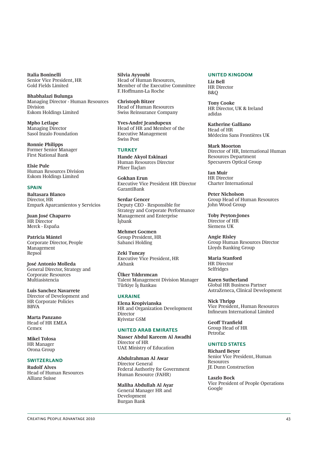**Italia Boninelli** Senior Vice President, HR Gold Fields Limited

**Bhabhalazi Bulunga**  Managing Director - Human Resources Division Eskom Holdings Limited

**Mpho Letlape** Managing Director Sasol Inzalo Foundation

**Ronnie Philipps** Former Senior Manager First National Bank

**Elsie Pule** Human Resources Division Eskom Holdings Limited

#### **SPAIN**

**Baltasara Blanco** Director, HR Empark Aparcamientos y Servicios

**Juan José Chaparro** HR Director Merck - España

**Patricia Mántel** Corporate Director, People Management Repsol

**José Antonio Molleda** General Director, Strategy and Corporate Resources Multiasistencia

**Luis Sanchez Navarrete** Director of Development and HR Corporate Policies BBVA

**Marta Panzano** Head of HR EMEA Cemex

**Mikel Tolosa** HR Manager Orona Group

#### **SWITZERLAND**

**Rudolf Alves** Head of Human Resources Allianz Suisse

**Silvia Ayyoubi** Head of Human Resources, Member of the Executive Committee F. Hoffmann-La Roche

**Christoph Bitzer** Head of Human Resources Swiss Reinsurance Company

**Yves-André Jeandupeux** Head of HR and Member of the Executive Management Swiss Post

#### **TURKEY**

**Hande Akyol Eskinazi** Human Resources Director Pfizer İlaçları

**Gokhan Erun** Executive Vice President HR Director GarantiBank

**Serdar Gencer** Deputy CEO - Responsible for Strategy and Corporate Performance Management and Enterprise İşbank

**Mehmet Gocmen** Group President, HR Sabanci Holding

**Zeki Tuncay** Executive Vice President, HR Akbank

**Ülker Yıldırımcan** Talent Management Division Manager Türkiye İş Bankası

#### **UKRAINE**

**Elena Kropivianska** HR and Organization Development Director Kyivstar GSM

#### **UNITED ARAB EMIRATES**

**Nasser Abdul Kareem Al Awadhi** Director of HR UAE Ministry of Education

**Abdulrahman Al Awar** Director General Federal Authority for Government Human Resource (FAHR)

**Maliha Abdullah Al Ayar** General Manager HR and Development Burgan Bank

#### **UNITED KINGDOM**

**Liz Bell** HR Director B&Q

**Tony Cooke** HR Director, UK & Ireland adidas

**Katherine Galliano** Head of HR Médecins Sans Frontières UK

**Mark Moorton** Director of HR, International Human Resources Department Specsavers Optical Group

**Ian Muir** HR Director Charter International

**Peter Nicholson** Group Head of Human Resources John Wood Group

**Toby Peyton-Jones** Director of HR Siemens UK

**Angie Risley** Group Human Resources Director Lloyds Banking Group

**Maria Stanford** HR Director Selfridges

**Karen Sutherland** Global HR Business Partner AstraZeneca, Clinical Development

**Nick Thripp** Vice President, Human Resources Infineum International Limited

**Geoff** Tranfield Group Head of HR Petrofac

#### **UNITED STATES**

**Richard Beyer** Senior Vice President, Human **Resources** JE Dunn Construction

**Laszlo Bock** Vice President of People Operations Google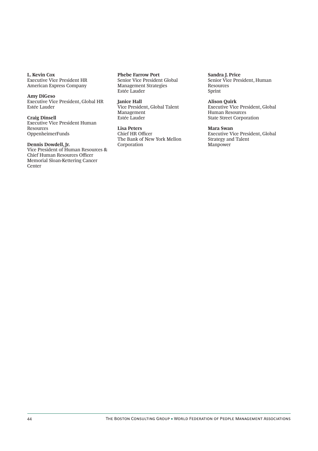**L. Kevin Cox** Executive Vice President HR American Express Company

#### **Amy DiGeso**

Executive Vice President, Global HR Estée Lauder

**Craig Dinsell** Executive Vice President Human Resources OppenheimerFunds

#### **Dennis Dowdell, Jr.**

Vice President of Human Resources & Chief Human Resources Officer Memorial Sloan-Kettering Cancer Center

**Phebe Farrow Port** Senior Vice President Global Management Strategies Estée Lauder

**Janice Hall** Vice President, Global Talent Management Estée Lauder

**Lisa Peters** Chief HR Officer The Bank of New York Mellon Corporation

**Sandra J. Price** Senior Vice President, Human Resources Sprint

#### **Alison Quirk**

Executive Vice President, Global Human Resources State Street Corporation

#### **Mara Swan**

Executive Vice President, Global Strategy and Talent Manpower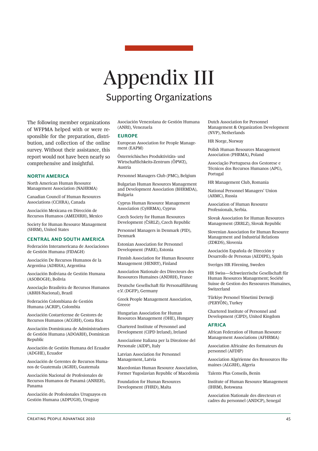## Appendix III Supporting Organizations

The following member organizations of WFPMA helped with or were responsible for the preparation, distribution, and collection of the online survey. Without their assistance, this report would not have been nearly so comprehensive and insightful.

#### **NORTH AMERICA**

North American Human Resource Management Association (NAHRMA)

Canadian Council of Human Resources Associations (CCHRA), Canada

Asociación Mexicana en Dirección de Recursos Humanos (AMEDIRH), Mexico

Society for Human Resource Management (SHRM), United States

#### **CENTRAL AND SOUTH AMERICA**

Federación Interamericana de Asociaciones de Gestión Humana (FIDAGH)

Asociación De Recursos Humanos de la Argentina (ADRHA), Argentina

Asociación Boliviana de Gestión Humana (ASOBOGH), Bolivia

Associação Brasileira de Recursos Humanos (ABRH-Nacional), Brazil

Federación Colombiana de Gestión Humana (ACRIP), Colombia

Asociación Costarricense de Gestores de Recursos Humanos (ACGRH), Costa Rica

Asociación Dominicana de Administradores de Gestión Humana (ADOARH), Dominican Republic

Asociación de Gestión Humana del Ecuador (ADGHE), Ecuador

Asociación de Gerentes de Recursos Humanos de Guatemala (AGRH), Guatemala

Asociación Nacional de Profesionales de Recursos Humanos de Panamá (ANREH), Panama

Asociación de Profesionales Uruguayos en Gestión Humana (ADPUGH), Uruguay

Asociación Venezolana de Gestión Humana (ANRI), Venezuela

#### **EUROPE**

European Association for People Management (EAPM)

Österreichisches Produktivitäts- und Wirtschaftlichkeits-Zentrum (ÖPWZ), Austria

Personnel Managers Club (PMC), Belgium

Bulgarian Human Resources Management and Development Association (BHRMDA), Bulgaria

Cyprus Human Resource Management Association (CyHRMA), Cyprus

Czech Society for Human Resources Development (ČSRLZ), Czech Republic

Personnel Managers in Denmark (PID), Denmark

Estonian Association for Personnel Development (PARE), Estonia

Finnish Association for Human Resource Management (HENRY), Finland

Association Nationale des Directeurs des Ressources Humaines (ANDRH), France

Deutsche Gesellschaft für Personalführung e.V. (DGFP), Germany

Greek People Management Association, Greece

Hungarian Association for Human Resources Management (OHE), Hungary

Chartered Institute of Personnel and Development (CIPD Ireland), Ireland

Associazione Italiana per la Direzione del Personale (AIDP), Italy

Latvian Association for Personnel Management, Latvia

Macedonian Human Resource Association, Former Yugoslavian Republic of Macedonia

Foundation for Human Resources Development (FHRD), Malta

Dutch Association for Personnel Management & Organization Development (NVP), Netherlands

HR Norge, Norway

Polish Human Resources Management Association (PHRMA), Poland

Associação Portuguesa dos Gestorese e Técnicos dos Recursos Humanos (APG), Portugal

HR Management Club, Romania

National Personnel Managers' Union (ARMC), Russia

Association of Human Resource Professionals, Serbia.

Slovak Association for Human Resources Management (ZRRLZ), Slovak Republic

Slovenian Association for Human Resource Management and Industrial Relations (ZDKDS), Slovenia

Asociación Española de Dirección y Desarrollo de Personas (AEDIPE), Spain

Sveriges HR Förening, Sweden

HR Swiss-Schweizerische Gesellschaft für Human Resources Management; Société Suisse de Gestion des Ressources Humaines, Switzerland

Türkiye Personel Yönetimi Derneği (PERYÖN), Turkey

Chartered Institute of Personnel and Development (CIPD), United Kingdom

#### **AFRICA**

African Federation of Human Resource Management Associations (AFHRMA)

Association Africaine des formateurs du personnel (AFDIP)

Association Algérienne des Ressources Humaines (ALGRH), Algeria

Talents Plus Conseils, Benin

Institute of Human Resource Management (IHRM), Botswana

Association Nationale des directeurs et cadres du personnel (ANDCP), Senegal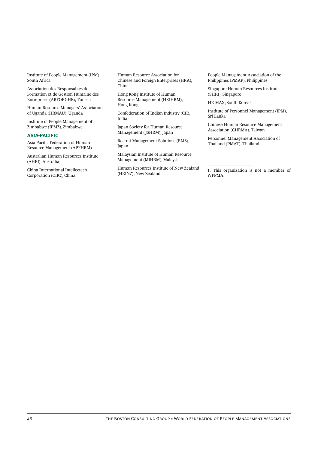Institute of People Management (IPM), South Africa

Association des Responsables de Formation et de Gestion Humaine des Entreprises (ARFORGHE), Tunisia

Human Resource Managers' Association of Uganda (HRMAU), Uganda

Institute of People Management of Zimbabwe (IPMZ), Zimbabwe

#### **ASIAPACIFIC**

Asia Pacific Federation of Human Resource Management (APFHRM)

Australian Human Resources Institute (AHRI), Australia

China International Intellectech Corporation (CIIC), China1

Human Resource Association for Chinese and Foreign Enterprises (HRA), China

Hong Kong Institute of Human Resource Management (HKIHRM), Hong Kong

Confederation of Indian Industry (CII), India1

Japan Society for Human Resource Management (JSHRM), Japan

Recruit Management Solutions (RMS), Japan1

Malaysian Institute of Human Resource Management (MIHRM), Malaysia

Human Resources Institute of New Zealand (HRINZ), New Zealand

People Management Association of the Philippines (PMAP), Philippines

Singapore Human Resources Institute (SHRI), Singapore

HR MAX, South Korea<sup>1</sup>

Institute of Personnel Management (IPM), Sri Lanka

Chinese Human Resource Management Association (CHRMA), Taiwan

Personnel Management Association of Thailand (PMAT), Thailand

1. This organization is not a member of WFPMA.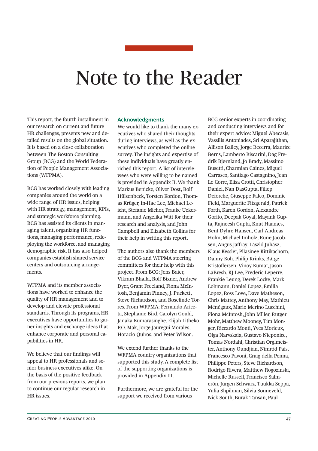## Note to the Reader

This report, the fourth installment in our research on current and future HR challenges, presents new and detailed results on the global situation. It is based on a close collaboration between The Boston Consulting Group (BCG) and the World Federation of People Management Associations (WFPMA).

BCG has worked closely with leading companies around the world on a wide range of HR issues, helping with HR strategy, management, KPIs, and strategic workforce planning. BCG has assisted its clients in managing talent, organizing HR functions, managing performance, redeploying the workforce, and managing demographic risk. It has also helped companies establish shared service centers and outsourcing arrangements.

WFPMA and its member associations have worked to enhance the quality of HR management and to develop and elevate professional standards. Through its programs, HR executives have opportunities to garner insights and exchange ideas that enhance corporate and personal capabilities in HR.

We believe that our findings will appeal to HR professionals and senior business executives alike. On the basis of the positive feedback from our previous reports, we plan to continue our regular research in HR issues.

#### **Acknowledgments**

We would like to thank the many executives who shared their thoughts during interviews, as well as the executives who completed the online survey. The insights and expertise of these individuals have greatly enriched this report. A list of interviewees who were willing to be named is provided in Appendix II. We thank Markus Benicke, Oliver Dost, Rolf Hülsenbeck, Torsten Kordon, Thomas Krüger, In-Hae Lee, Michael Leicht, Stefanie Michor, Frauke Uekermann, and Angelika Witt for their research and analysis, and John Campbell and Elizabeth Collins for their help in writing this report.

The authors also thank the members of the BCG and WFPMA steering committees for their help with this project. From BCG: Jens Baier, Vikram Bhalla, Rolf Bixner, Andrew Dyer, Grant Freeland, Fiona McIntosh, Benjamin Pinney, J. Puckett, Steve Richardson, and Roselinde Torres. From WFPMA: Fernando Ariceta, Stephanie Bird, Carolyn Gould, Janaka Kumarasinghe, Elijah Litheko, P.O. Mak, Jorge Jauregui Morales, Horacio Quiros, and Peter Wilson.

We extend further thanks to the WFPMA country organizations that supported this study. A complete list of the supporting organizations is provided in Appendix III.

Furthermore, we are grateful for the support we received from various

BCG senior experts in coordinating and conducting interviews and for their expert advice: Miguel Abecasis, Vassilis Antoniades, Sri Aparajithan, Allison Bailey, Jorge Becerra, Maurice Berns, Lamberto Biscarini, Dag Fredrik Bjørnland, Jo Brady, Massimo Busetti, Charmian Caines, Miguel Carrasco, Santiago Castagnino, Jean Le Corre, Elisa Crotti, Christopher Daniel, Nan DasGupta, Filiep Deforche, Giuseppe Falco, Dominic Field, Marguerite Fitzgerald, Patrick Forth, Karen Gordon, Alexandre Gorito, Deepak Goyal, Mayank Gupta, Rajneesh Gupta, Knut Haanæs, Bent Dyhre Hansen, Carl Andreas Holm, Michael Imholz, Rune Jacobsen, Angus Jaffray, László Juhász, Klaus Kessler, Pilasinee Kittikachorn, Danny Koh, Philip Krinks, Børge Kristoffersen, Vinoy Kumar, Jason LaBresh, KJ Lee, Frederic Leperre, Frankie Leung, Derek Locke, Mark Lohmann, Daniel Lopez, Emilia Lopez, Ross Love, Dave Matheson, Chris Mattey, Anthony May, Mathieu Ménégaux, Mario Merino Lucchini, Fiona McIntosh, John Miller, Rutger Mohr, Matthew Mooney, Tim Monger, Riccardo Monti, Yves Morieux, Olga Narvskaia, Gustavo Nieponice, Tomas Nordahl, Christian Orglmeister, Anthony Oundjian, Nimród Pais, Francesco Pavoni, Craig della Penna, Philippe Peters, Steve Richardson, Rodrigo Rivera, Matthew Rogozinski, Michelle Russell, Francisco Salmerón, Jürgen Schwarz, Tuukka Seppä, Yulia Shpilman, Silvia Sonneveld, Nick South, Burak Tansan, Paul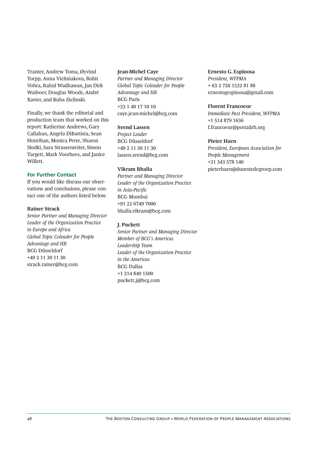Tranter, Andrew Toma, Øyvind Torpp, Anna Vichniakova, Rohit Vohra, Rahul Wadhawan, Jan Dirk Waiboer, Douglas Woods, André Xavier, and Kuba Zielinski.

Finally, we thank the editorial and production team that worked on this report: Katherine Andrews, Gary Callahan, Angela DiBattista, Sean Hourihan, Monica Petre, Sharon Slodki, Sara Strassenreiter, Simon Targett, Mark Voorhees, and Janice Willett.

#### **For Further Contact**

If you would like discuss our observations and conclusions, please contact one of the authors listed below.

### **Rainer Strack**

*Senior Partner and Managing Director Leader of the Organization Practice in Europe and Africa Global Topic Coleader for People Advantage and HR* BCG Düsseldorf +49 2 11 30 11 30 strack.rainer@bcg.com

#### **Jean-Michel Caye**

*Partner and Managing Director Global Topic Coleader for People Advantage and HR* BCG Paris +33 1 40 17 10 10 caye.jean-michel@bcg.com

#### **Svend Lassen**

*Project Leader* BCG Düsseldorf +49 2 11 30 11 30 lassen.svend@bcg.com

#### **Vikram Bhalla**

*Partner and Managing Director Leader of the Organization Practice*   $in$  Asia-Pacific BCG Mumbai +91 22 6749 7000 bhalla.vikram@bcg.com

#### **J. Puckett**

*Senior Partner and Managing Director Member of BCG*'*s Americas Leadership Team Leader of the Organization Practice in the Americas* BCG Dallas +1 214 849 1500 puckett.j@bcg.com

#### **Ernesto G. Espinosa**

*President, WFPMA* + 63 2 726 1532 81 88 ernestogespinosa@gmail.com

#### **Florent Francoeur**

*Immediate Past President, WFPMA* +1 514 879 1636 f.francoeur@portailrh.org

### **Pieter Haen**

*President, European Association for People Management* +31 343 578 140 pieterhaen@duurstedegroep.com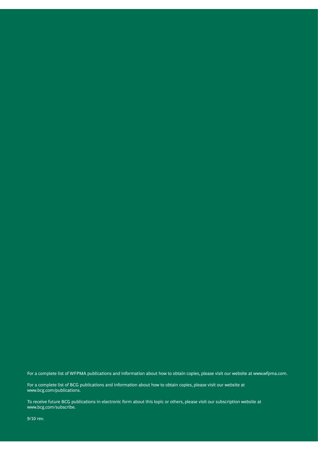For a complete list of WFPMA publications and information about how to obtain copies, please visit our website at www.wfpma.com.

For a complete list of BCG publications and information about how to obtain copies, please visit our website at www.bcg.com/publications.

To receive future BCG publications in electronic form about this topic or others, please visit our subscription website at www.bcg.com/subscribe.

9/10 rev.